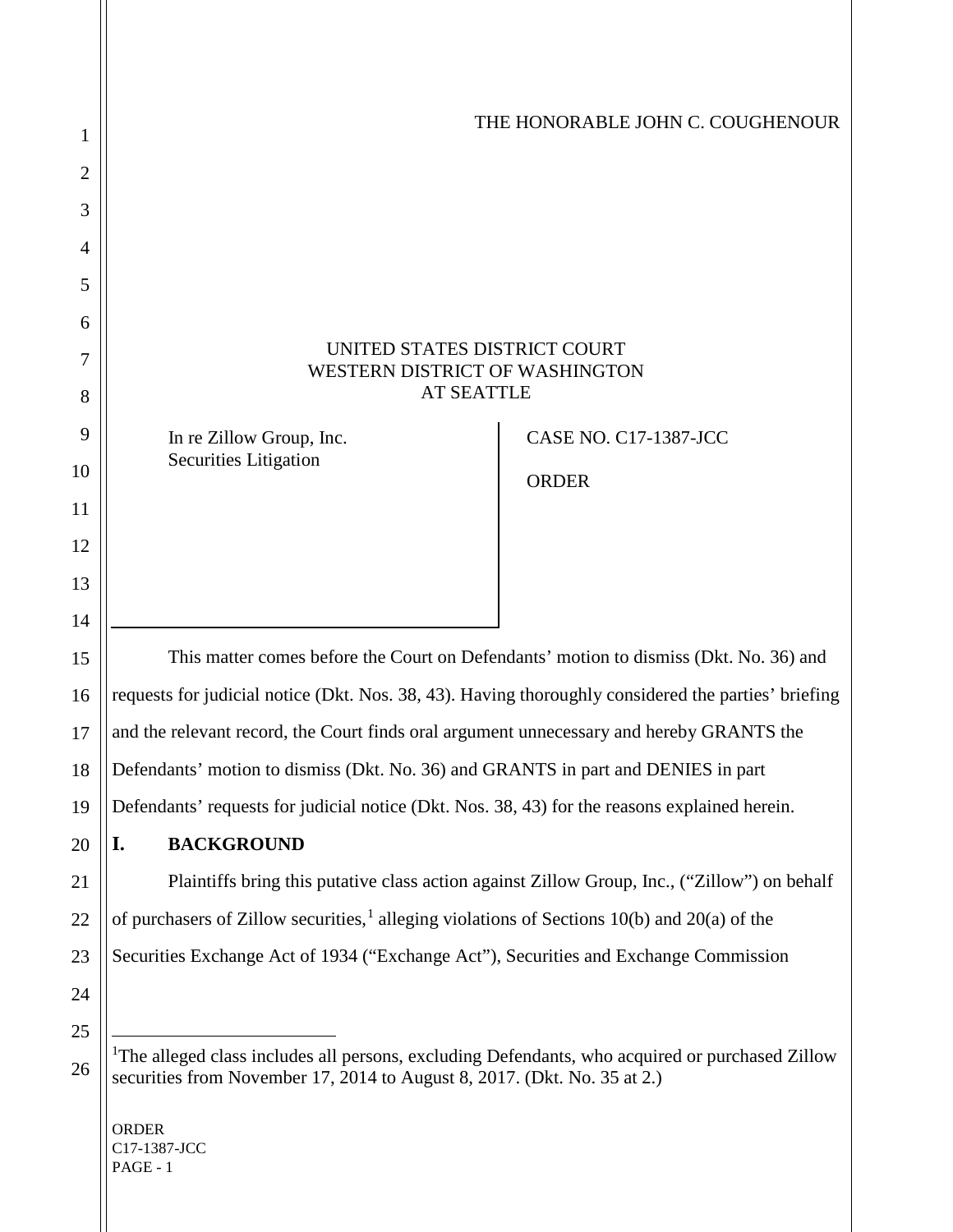<span id="page-0-0"></span>

| 1              | THE HONORABLE JOHN C. COUGHENOUR                                                                                                                                                        |
|----------------|-----------------------------------------------------------------------------------------------------------------------------------------------------------------------------------------|
| $\overline{2}$ |                                                                                                                                                                                         |
| 3              |                                                                                                                                                                                         |
| 4              |                                                                                                                                                                                         |
| 5              |                                                                                                                                                                                         |
| 6              |                                                                                                                                                                                         |
| 7              | UNITED STATES DISTRICT COURT<br>WESTERN DISTRICT OF WASHINGTON                                                                                                                          |
| 8              | <b>AT SEATTLE</b>                                                                                                                                                                       |
| 9              | <b>CASE NO. C17-1387-JCC</b><br>In re Zillow Group, Inc.                                                                                                                                |
| 10             | Securities Litigation<br><b>ORDER</b>                                                                                                                                                   |
| 11             |                                                                                                                                                                                         |
| 12             |                                                                                                                                                                                         |
| 13             |                                                                                                                                                                                         |
| 14             |                                                                                                                                                                                         |
| 15             | This matter comes before the Court on Defendants' motion to dismiss (Dkt. No. 36) and                                                                                                   |
| 16             | requests for judicial notice (Dkt. Nos. 38, 43). Having thoroughly considered the parties' briefing                                                                                     |
| 17             | and the relevant record, the Court finds oral argument unnecessary and hereby GRANTS the                                                                                                |
| 18             | Defendants' motion to dismiss (Dkt. No. 36) and GRANTS in part and DENIES in part                                                                                                       |
| 19             | Defendants' requests for judicial notice (Dkt. Nos. 38, 43) for the reasons explained herein.                                                                                           |
| 20             | <b>BACKGROUND</b><br>I.                                                                                                                                                                 |
| 21             | Plaintiffs bring this putative class action against Zillow Group, Inc., ("Zillow") on behalf                                                                                            |
| 22             | of purchasers of Zillow securities, <sup>1</sup> alleging violations of Sections 10(b) and 20(a) of the                                                                                 |
| 23             | Securities Exchange Act of 1934 ("Exchange Act"), Securities and Exchange Commission                                                                                                    |
| 24             |                                                                                                                                                                                         |
| 25             |                                                                                                                                                                                         |
| 26             | <sup>1</sup> The alleged class includes all persons, excluding Defendants, who acquired or purchased Zillow<br>securities from November 17, 2014 to August 8, 2017. (Dkt. No. 35 at 2.) |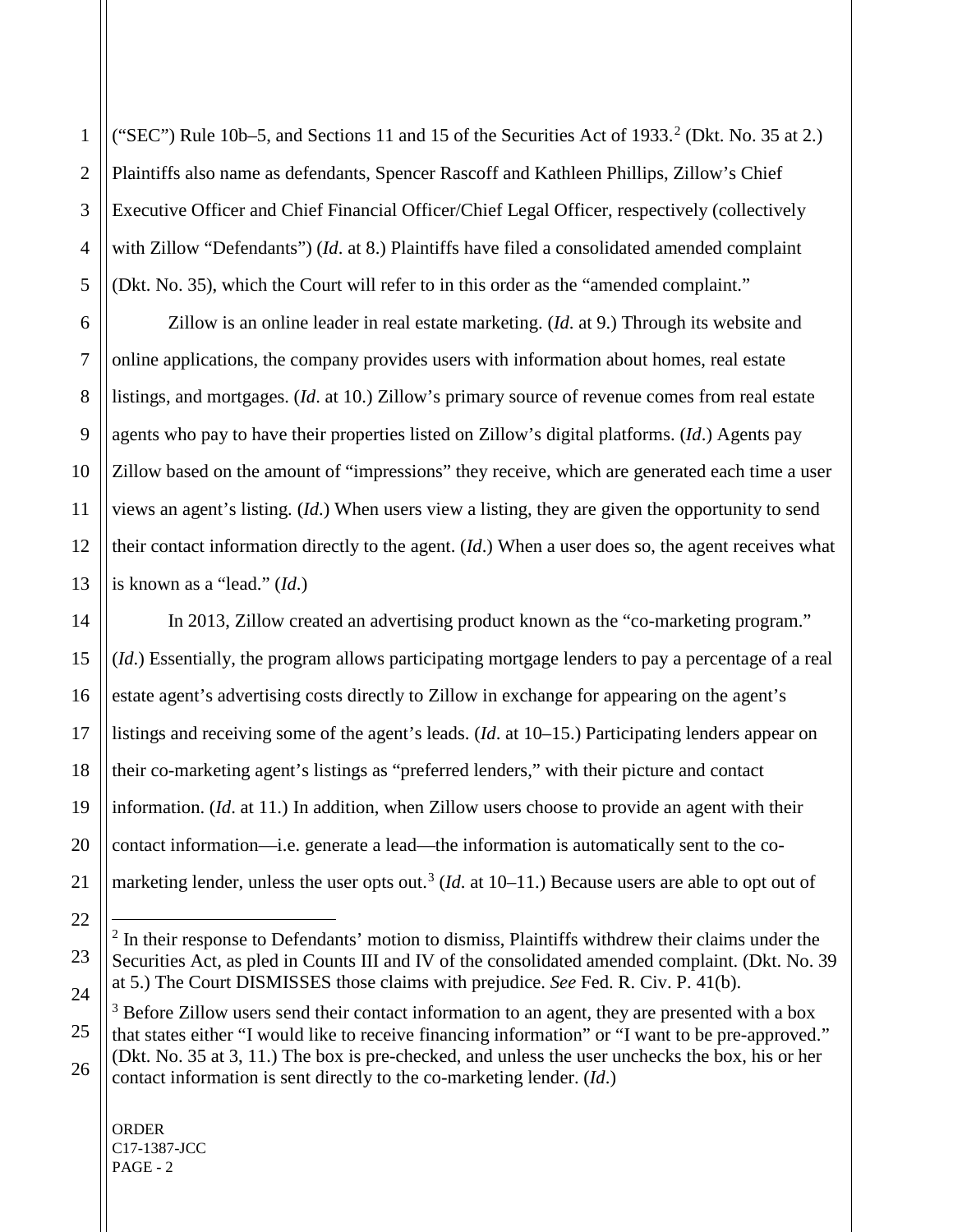("SEC") Rule  $10b-5$ , and Sections 11 and 15 of the Securities Act of 1933.<sup>[2](#page-1-0)</sup> (Dkt. No. 35 at 2.) Plaintiffs also name as defendants, Spencer Rascoff and Kathleen Phillips, Zillow's Chief Executive Officer and Chief Financial Officer/Chief Legal Officer, respectively (collectively with Zillow "Defendants") (*Id*. at 8.) Plaintiffs have filed a consolidated amended complaint (Dkt. No. 35), which the Court will refer to in this order as the "amended complaint."

Zillow is an online leader in real estate marketing. (*Id*. at 9.) Through its website and online applications, the company provides users with information about homes, real estate listings, and mortgages. (*Id*. at 10.) Zillow's primary source of revenue comes from real estate agents who pay to have their properties listed on Zillow's digital platforms. (*Id*.) Agents pay Zillow based on the amount of "impressions" they receive, which are generated each time a user views an agent's listing. (*Id*.) When users view a listing, they are given the opportunity to send their contact information directly to the agent. (*Id*.) When a user does so, the agent receives what is known as a "lead." (*Id*.)

In 2013, Zillow created an advertising product known as the "co-marketing program." (*Id*.) Essentially, the program allows participating mortgage lenders to pay a percentage of a real estate agent's advertising costs directly to Zillow in exchange for appearing on the agent's listings and receiving some of the agent's leads. (*Id*. at 10–15.) Participating lenders appear on their co-marketing agent's listings as "preferred lenders," with their picture and contact information. (*Id*. at 11.) In addition, when Zillow users choose to provide an agent with their contact information—i.e. generate a lead—the information is automatically sent to the co-marketing lender, unless the user opts out.<sup>[3](#page-1-1)</sup> (*Id.* at 10–11.) Because users are able to opt out of

ORDER C17-1387-JCC  $PAGE - 2$ 

<span id="page-1-0"></span> $<sup>2</sup>$  In their response to Defendants' motion to dismiss, Plaintiffs withdrew their claims under the</sup> Securities Act, as pled in Counts III and IV of the consolidated amended complaint. (Dkt. No. 39 at 5.) The Court DISMISSES those claims with prejudice. *See* Fed. R. Civ. P. 41(b).

<span id="page-1-1"></span><sup>&</sup>lt;sup>3</sup> Before Zillow users send their contact information to an agent, they are presented with a box that states either "I would like to receive financing information" or "I want to be pre-approved." (Dkt. No. 35 at 3, 11.) The box is pre-checked, and unless the user unchecks the box, his or her contact information is sent directly to the co-marketing lender. (*Id*.)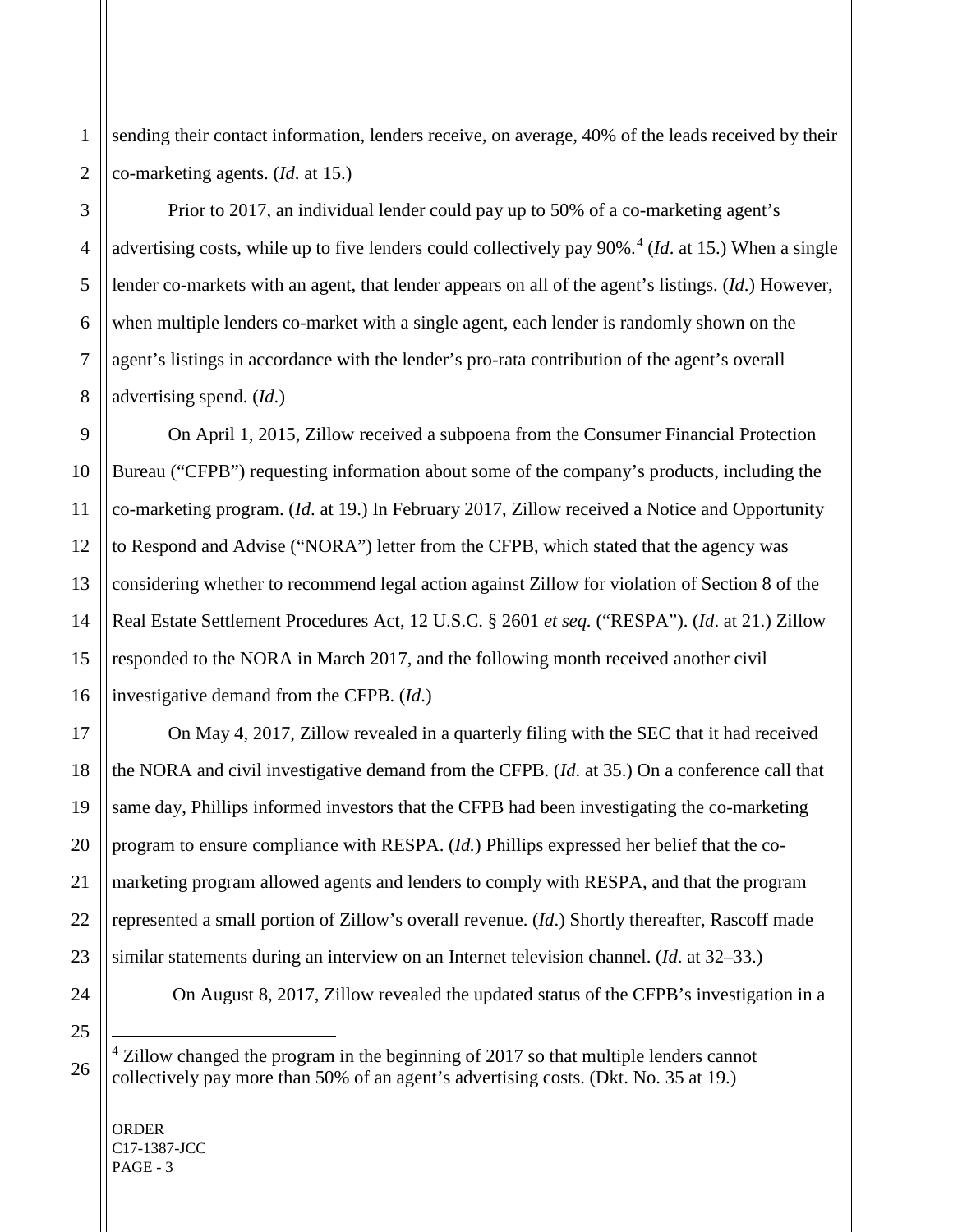1 sending their contact information, lenders receive, on average, 40% of the leads received by their co-marketing agents. (*Id*. at 15.)

Prior to 2017, an individual lender could pay up to 50% of a co-marketing agent's advertising costs, while up to five lenders could collectively pay 90%. [4](#page-2-0) (*Id*. at 15.) When a single lender co-markets with an agent, that lender appears on all of the agent's listings. (*Id*.) However, when multiple lenders co-market with a single agent, each lender is randomly shown on the agent's listings in accordance with the lender's pro-rata contribution of the agent's overall advertising spend. (*Id*.)

On April 1, 2015, Zillow received a subpoena from the Consumer Financial Protection Bureau ("CFPB") requesting information about some of the company's products, including the co-marketing program. (*Id*. at 19.) In February 2017, Zillow received a Notice and Opportunity to Respond and Advise ("NORA") letter from the CFPB, which stated that the agency was considering whether to recommend legal action against Zillow for violation of Section 8 of the Real Estate Settlement Procedures Act, 12 U.S.C. § 2601 *et seq.* ("RESPA"). (*Id*. at 21.) Zillow responded to the NORA in March 2017, and the following month received another civil investigative demand from the CFPB. (*Id*.)

On May 4, 2017, Zillow revealed in a quarterly filing with the SEC that it had received the NORA and civil investigative demand from the CFPB. (*Id*. at 35.) On a conference call that same day, Phillips informed investors that the CFPB had been investigating the co-marketing program to ensure compliance with RESPA. (*Id.*) Phillips expressed her belief that the comarketing program allowed agents and lenders to comply with RESPA, and that the program represented a small portion of Zillow's overall revenue. (*Id*.) Shortly thereafter, Rascoff made similar statements during an interview on an Internet television channel. (*Id*. at 32–33.)

<span id="page-2-0"></span>

On August 8, 2017, Zillow revealed the updated status of the CFPB's investigation in a

 $4$  Zillow changed the program in the beginning of 2017 so that multiple lenders cannot collectively pay more than 50% of an agent's advertising costs. (Dkt. No. 35 at 19.)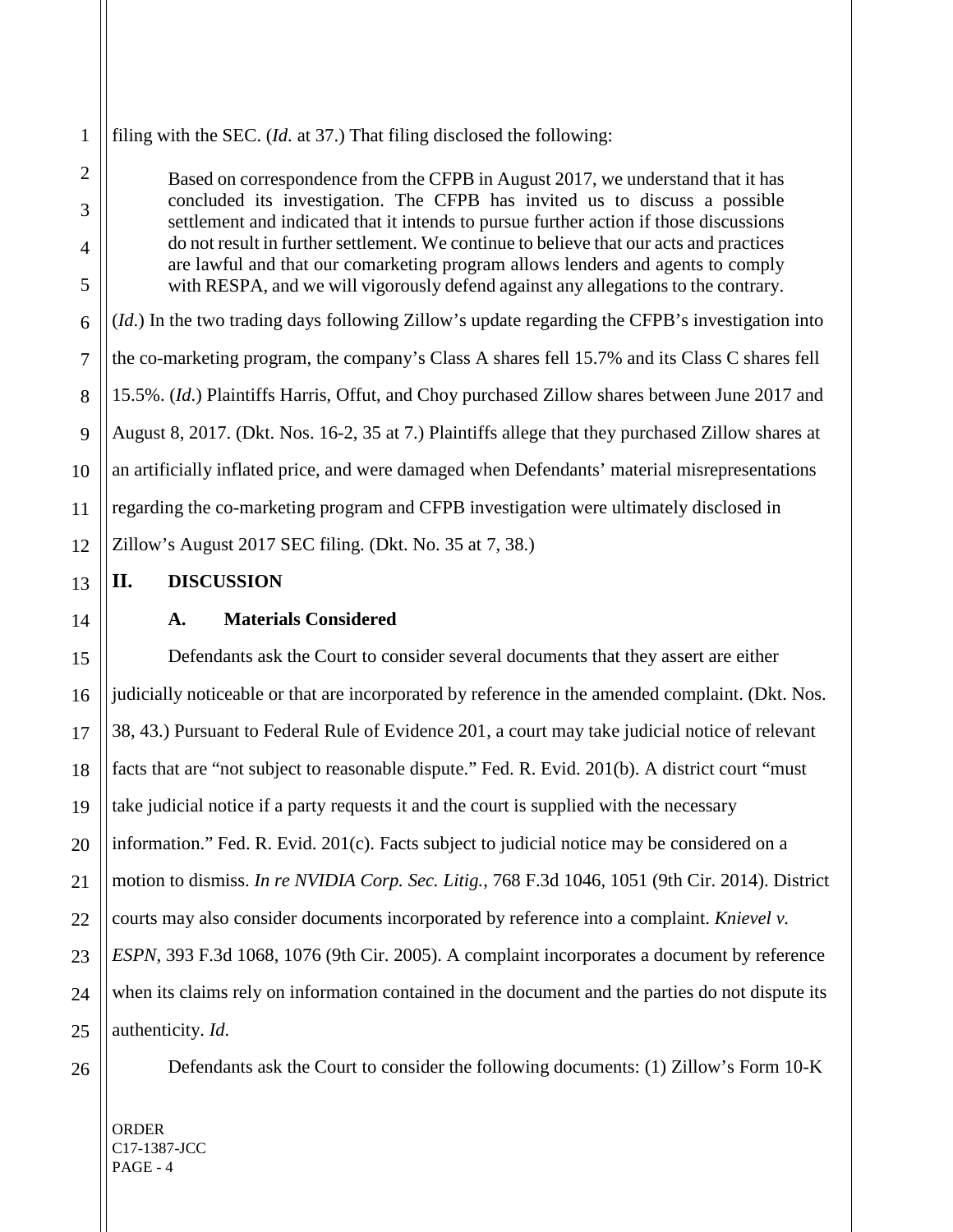filing with the SEC. (*Id*. at 37.) That filing disclosed the following:

Based on correspondence from the CFPB in August 2017, we understand that it has concluded its investigation. The CFPB has invited us to discuss a possible settlement and indicated that it intends to pursue further action if those discussions do not result in further settlement. We continue to believe that our acts and practices are lawful and that our comarketing program allows lenders and agents to comply with RESPA, and we will vigorously defend against any allegations to the contrary.

(*Id*.) In the two trading days following Zillow's update regarding the CFPB's investigation into the co-marketing program, the company's Class A shares fell 15.7% and its Class C shares fell 15.5%. (*Id*.) Plaintiffs Harris, Offut, and Choy purchased Zillow shares between June 2017 and August 8, 2017. (Dkt. Nos. 16-2, 35 at 7.) Plaintiffs allege that they purchased Zillow shares at an artificially inflated price, and were damaged when Defendants' material misrepresentations regarding the co-marketing program and CFPB investigation were ultimately disclosed in Zillow's August 2017 SEC filing. (Dkt. No. 35 at 7, 38.)

#### **II. DISCUSSION**

#### **A. Materials Considered**

Defendants ask the Court to consider several documents that they assert are either judicially noticeable or that are incorporated by reference in the amended complaint. (Dkt. Nos. 38, 43.) Pursuant to Federal Rule of Evidence 201, a court may take judicial notice of relevant facts that are "not subject to reasonable dispute." Fed. R. Evid. 201(b). A district court "must take judicial notice if a party requests it and the court is supplied with the necessary information." Fed. R. Evid. 201(c). Facts subject to judicial notice may be considered on a motion to dismiss. *In re NVIDIA Corp. Sec. Litig.*, 768 F.3d 1046, 1051 (9th Cir. 2014). District courts may also consider documents incorporated by reference into a complaint. *Knievel v. ESPN*, 393 F.3d 1068, 1076 (9th Cir. 2005). A complaint incorporates a document by reference when its claims rely on information contained in the document and the parties do not dispute its authenticity. *Id*.

Defendants ask the Court to consider the following documents: (1) Zillow's Form 10-K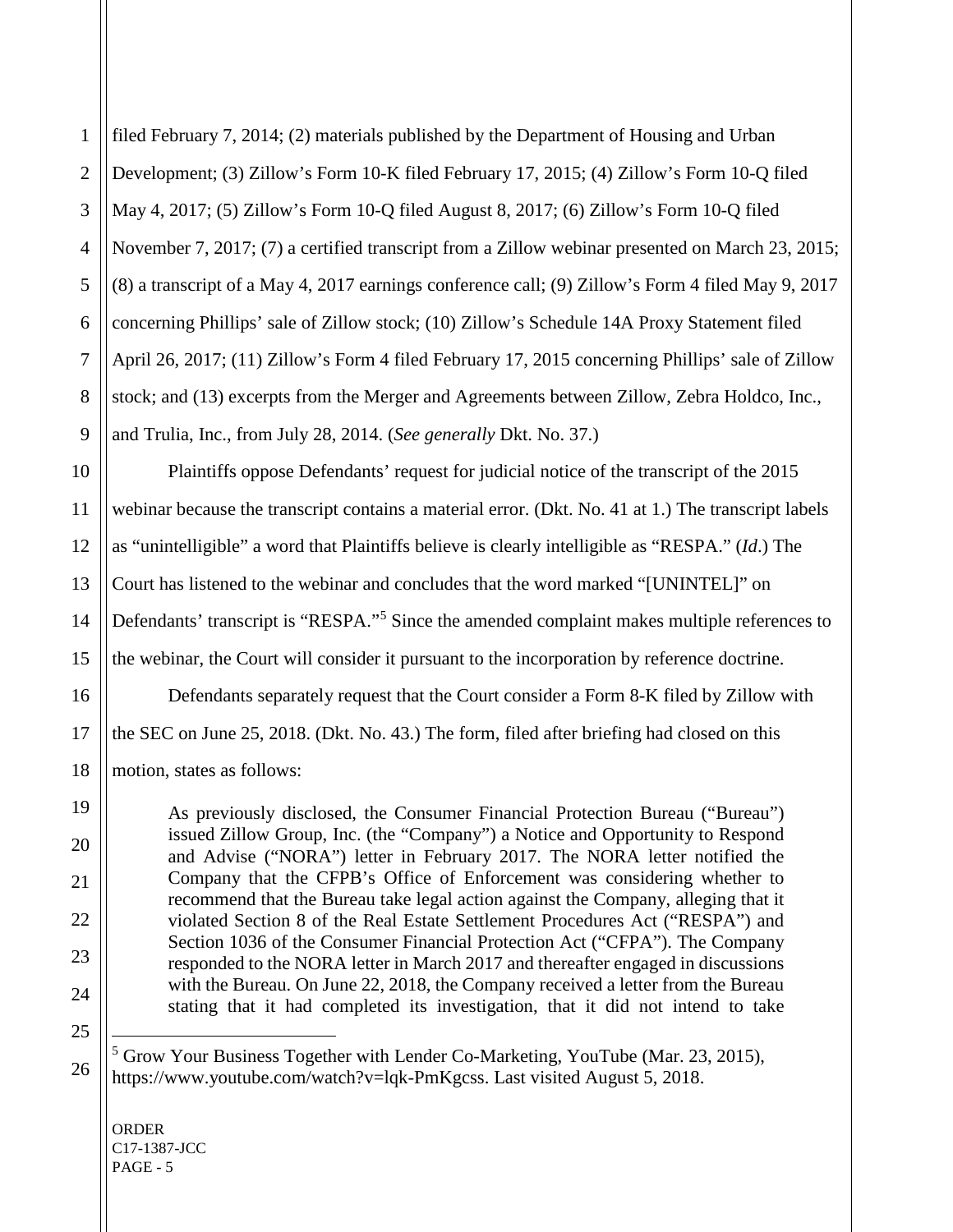1

2

3

4

5

filed February 7, 2014; (2) materials published by the Department of Housing and Urban Development; (3) Zillow's Form 10-K filed February 17, 2015; (4) Zillow's Form 10-Q filed May 4, 2017; (5) Zillow's Form 10-Q filed August 8, 2017; (6) Zillow's Form 10-Q filed November 7, 2017; (7) a certified transcript from a Zillow webinar presented on March 23, 2015; (8) a transcript of a May 4, 2017 earnings conference call; (9) Zillow's Form 4 filed May 9, 2017 concerning Phillips' sale of Zillow stock; (10) Zillow's Schedule 14A Proxy Statement filed April 26, 2017; (11) Zillow's Form 4 filed February 17, 2015 concerning Phillips' sale of Zillow stock; and (13) excerpts from the Merger and Agreements between Zillow, Zebra Holdco, Inc., and Trulia, Inc., from July 28, 2014. (*See generally* Dkt. No. 37.)

Plaintiffs oppose Defendants' request for judicial notice of the transcript of the 2015 webinar because the transcript contains a material error. (Dkt. No. 41 at 1.) The transcript labels as "unintelligible" a word that Plaintiffs believe is clearly intelligible as "RESPA." (*Id*.) The Court has listened to the webinar and concludes that the word marked "[UNINTEL]" on Defendants' transcript is "RESPA."<sup>[5](#page-4-0)</sup> Since the amended complaint makes multiple references to the webinar, the Court will consider it pursuant to the incorporation by reference doctrine.

Defendants separately request that the Court consider a Form 8-K filed by Zillow with the SEC on June 25, 2018. (Dkt. No. 43.) The form, filed after briefing had closed on this motion, states as follows:

As previously disclosed, the Consumer Financial Protection Bureau ("Bureau") issued Zillow Group, Inc. (the "Company") a Notice and Opportunity to Respond and Advise ("NORA") letter in February 2017. The NORA letter notified the Company that the CFPB's Office of Enforcement was considering whether to recommend that the Bureau take legal action against the Company, alleging that it violated Section 8 of the Real Estate Settlement Procedures Act ("RESPA") and Section 1036 of the Consumer Financial Protection Act ("CFPA"). The Company responded to the NORA letter in March 2017 and thereafter engaged in discussions with the Bureau. On June 22, 2018, the Company received a letter from the Bureau stating that it had completed its investigation, that it did not intend to take

<span id="page-4-0"></span><sup>&</sup>lt;sup>5</sup> Grow Your Business Together with Lender Co-Marketing, YouTube (Mar. 23, 2015), https://www.youtube.com/watch?v=lqk-PmKgcss. Last visited August 5, 2018.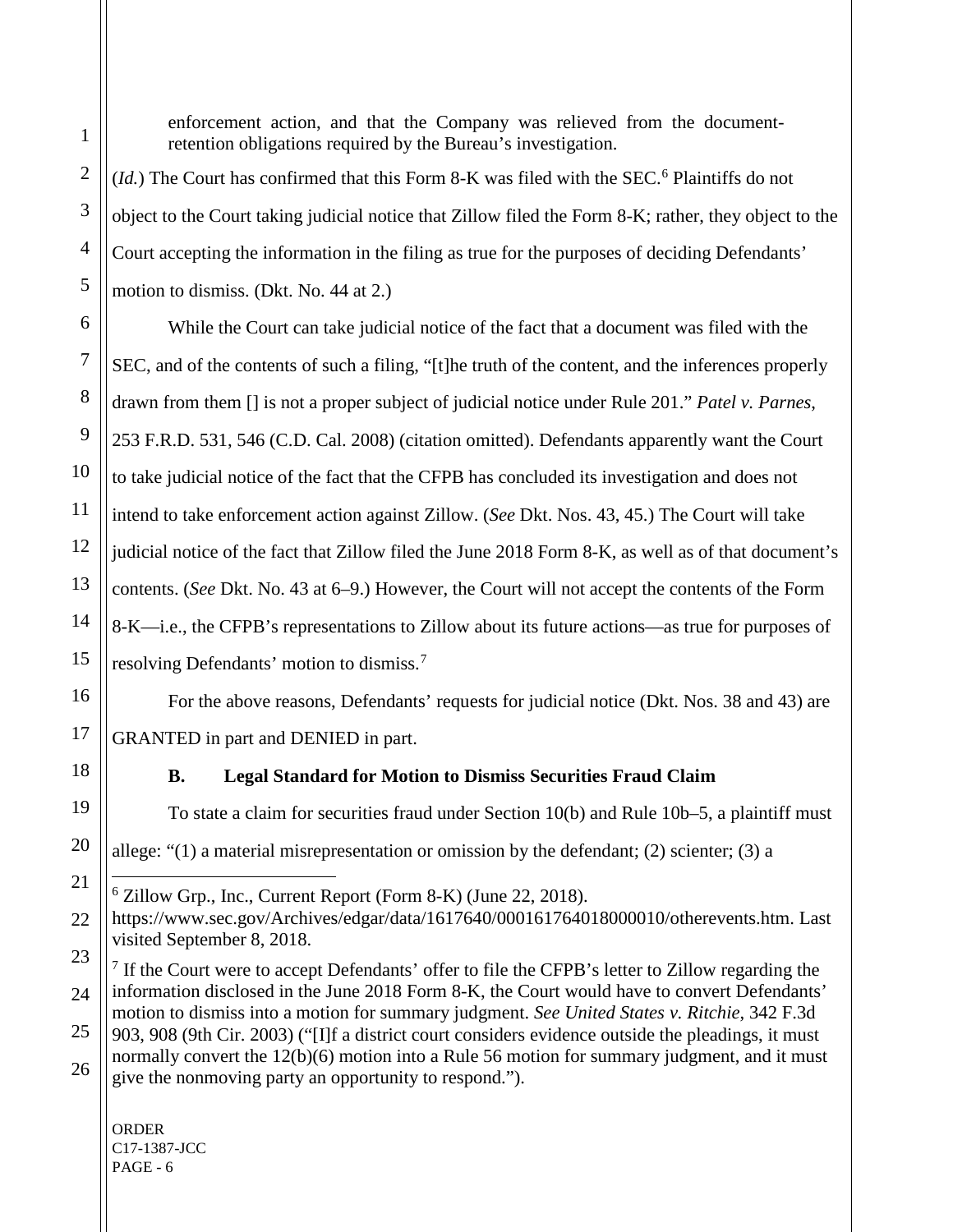enforcement action, and that the Company was relieved from the documentretention obligations required by the Bureau's investigation.

(*Id.*) The Court has confirmed that this Form 8-K was filed with the SEC.<sup>[6](#page-5-0)</sup> Plaintiffs do not object to the Court taking judicial notice that Zillow filed the Form 8-K; rather, they object to the Court accepting the information in the filing as true for the purposes of deciding Defendants' motion to dismiss. (Dkt. No. 44 at 2.)

While the Court can take judicial notice of the fact that a document was filed with the SEC, and of the contents of such a filing, "[t]he truth of the content, and the inferences properly drawn from them [] is not a proper subject of judicial notice under Rule 201." *Patel v. Parnes*, 253 F.R.D. 531, 546 (C.D. Cal. 2008) (citation omitted). Defendants apparently want the Court to take judicial notice of the fact that the CFPB has concluded its investigation and does not intend to take enforcement action against Zillow. (*See* Dkt. Nos. 43, 45.) The Court will take judicial notice of the fact that Zillow filed the June 2018 Form 8-K, as well as of that document's contents. (*See* Dkt. No. 43 at 6–9.) However, the Court will not accept the contents of the Form 8-K—i.e., the CFPB's representations to Zillow about its future actions—as true for purposes of resolving Defendants' motion to dismiss.<sup>[7](#page-5-1)</sup>

For the above reasons, Defendants' requests for judicial notice (Dkt. Nos. 38 and 43) are GRANTED in part and DENIED in part.

# **B. Legal Standard for Motion to Dismiss Securities Fraud Claim**

To state a claim for securities fraud under Section 10(b) and Rule 10b–5, a plaintiff must allege: " $(1)$  a material misrepresentation or omission by the defendant;  $(2)$  scienter;  $(3)$  a

<span id="page-5-0"></span> $6$  Zillow Grp., Inc., Current Report (Form 8-K) (June 22, 2018). https://www.sec.gov/Archives/edgar/data/1617640/000161764018000010/otherevents.htm. Last visited September 8, 2018.

<span id="page-5-1"></span> $<sup>7</sup>$  If the Court were to accept Defendants' offer to file the CFPB's letter to Zillow regarding the</sup> information disclosed in the June 2018 Form 8-K, the Court would have to convert Defendants' motion to dismiss into a motion for summary judgment. *See United States v. Ritchie*, 342 F.3d 903, 908 (9th Cir. 2003) ("[I]f a district court considers evidence outside the pleadings, it must normally convert the 12(b)(6) motion into a Rule 56 motion for summary judgment, and it must give the nonmoving party an opportunity to respond.").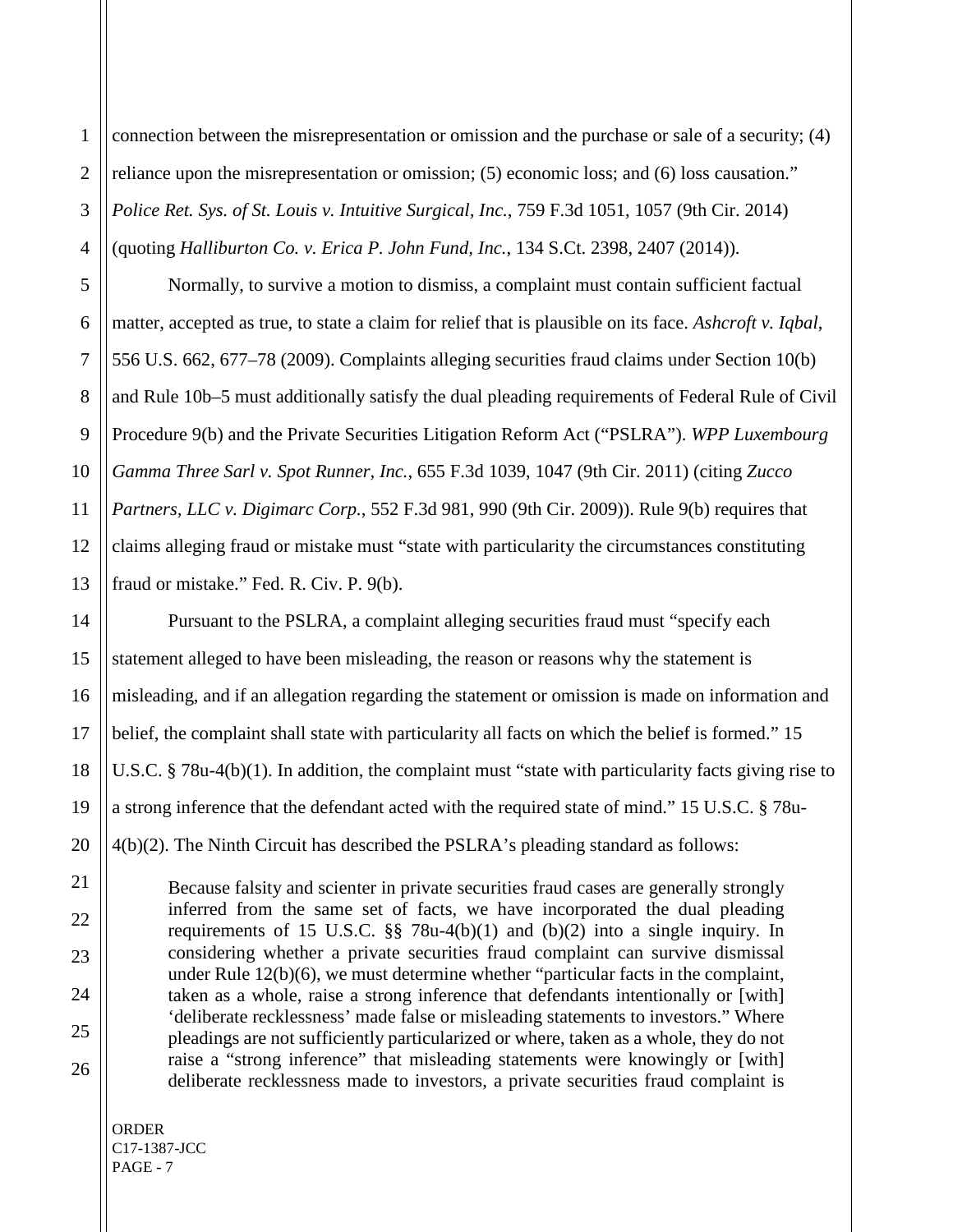1 connection between the misrepresentation or omission and the purchase or sale of a security; (4) reliance upon the misrepresentation or omission; (5) economic loss; and (6) loss causation." *Police Ret. Sys. of St. Louis v. Intuitive Surgical, Inc.*, 759 F.3d 1051, 1057 (9th Cir. 2014) (quoting *Halliburton Co. v. Erica P. John Fund, Inc.*, 134 S.Ct. 2398, 2407 (2014)).

Normally, to survive a motion to dismiss, a complaint must contain sufficient factual matter, accepted as true, to state a claim for relief that is plausible on its face. *Ashcroft v. Iqbal*, 556 U.S. 662, 677–78 (2009). Complaints alleging securities fraud claims under Section 10(b) and Rule 10b–5 must additionally satisfy the dual pleading requirements of Federal Rule of Civil Procedure 9(b) and the Private Securities Litigation Reform Act ("PSLRA"). *WPP Luxembourg Gamma Three Sarl v. Spot Runner, Inc.*, 655 F.3d 1039, 1047 (9th Cir. 2011) (citing *Zucco Partners, LLC v. Digimarc Corp.*, 552 F.3d 981, 990 (9th Cir. 2009)). Rule 9(b) requires that claims alleging fraud or mistake must "state with particularity the circumstances constituting fraud or mistake." Fed. R. Civ. P. 9(b).

Pursuant to the PSLRA, a complaint alleging securities fraud must "specify each statement alleged to have been misleading, the reason or reasons why the statement is misleading, and if an allegation regarding the statement or omission is made on information and belief, the complaint shall state with particularity all facts on which the belief is formed." 15 U.S.C. § 78u-4(b)(1). In addition, the complaint must "state with particularity facts giving rise to a strong inference that the defendant acted with the required state of mind." 15 U.S.C. § 78u-4(b)(2). The Ninth Circuit has described the PSLRA's pleading standard as follows:

Because falsity and scienter in private securities fraud cases are generally strongly inferred from the same set of facts, we have incorporated the dual pleading requirements of 15 U.S.C.  $\S$  78u-4(b)(1) and (b)(2) into a single inquiry. In considering whether a private securities fraud complaint can survive dismissal under Rule 12(b)(6), we must determine whether "particular facts in the complaint, taken as a whole, raise a strong inference that defendants intentionally or [with] 'deliberate recklessness' made false or misleading statements to investors." Where pleadings are not sufficiently particularized or where, taken as a whole, they do not raise a "strong inference" that misleading statements were knowingly or [with] deliberate recklessness made to investors, a private securities fraud complaint is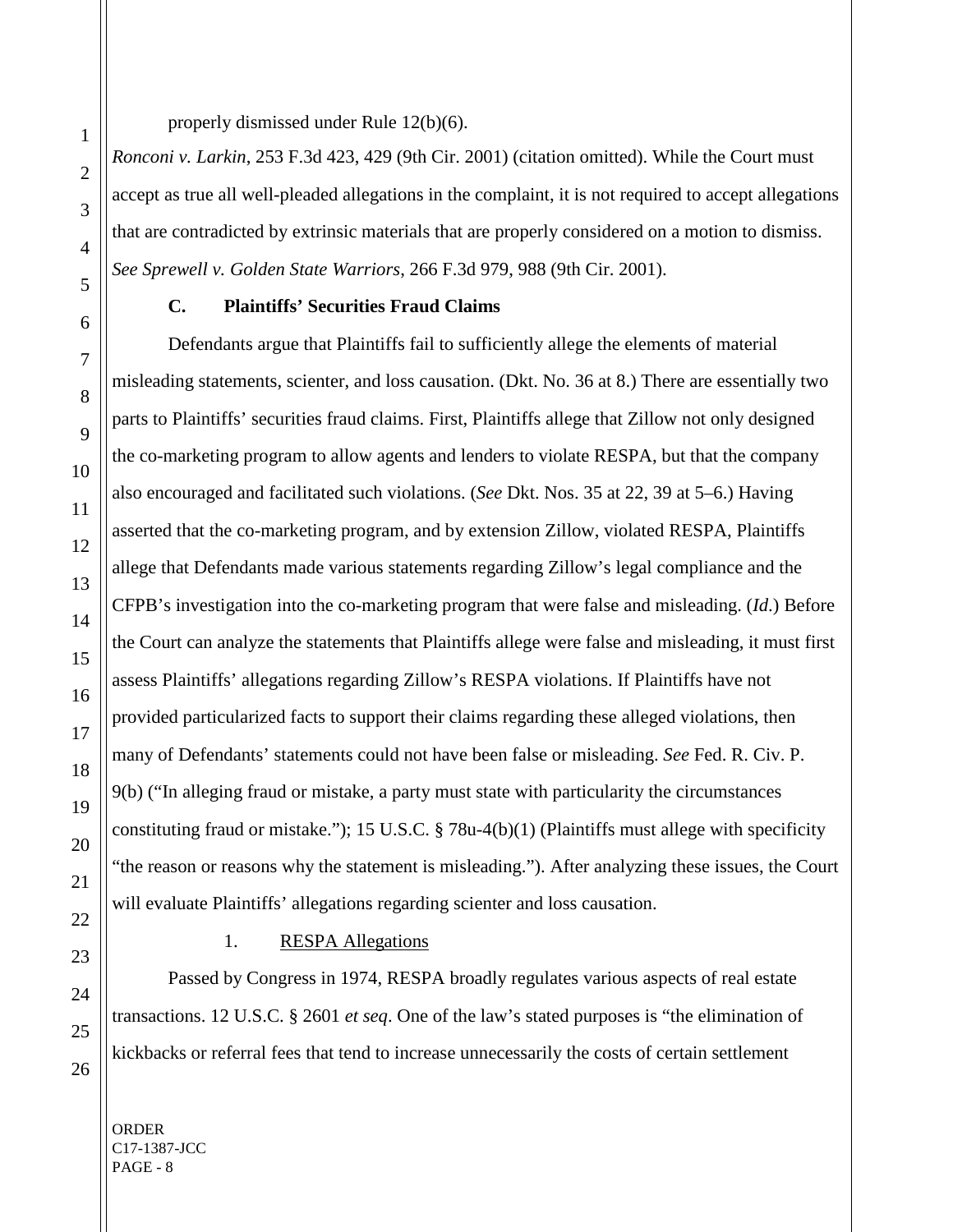properly dismissed under Rule 12(b)(6).

*Ronconi v. Larkin*, 253 F.3d 423, 429 (9th Cir. 2001) (citation omitted). While the Court must accept as true all well-pleaded allegations in the complaint, it is not required to accept allegations that are contradicted by extrinsic materials that are properly considered on a motion to dismiss. *See Sprewell v. Golden State Warriors*, 266 F.3d 979, 988 (9th Cir. 2001).

#### **C. Plaintiffs' Securities Fraud Claims**

Defendants argue that Plaintiffs fail to sufficiently allege the elements of material misleading statements, scienter, and loss causation. (Dkt. No. 36 at 8.) There are essentially two parts to Plaintiffs' securities fraud claims. First, Plaintiffs allege that Zillow not only designed the co-marketing program to allow agents and lenders to violate RESPA, but that the company also encouraged and facilitated such violations. (*See* Dkt. Nos. 35 at 22, 39 at 5–6.) Having asserted that the co-marketing program, and by extension Zillow, violated RESPA, Plaintiffs allege that Defendants made various statements regarding Zillow's legal compliance and the CFPB's investigation into the co-marketing program that were false and misleading. (*Id*.) Before the Court can analyze the statements that Plaintiffs allege were false and misleading, it must first assess Plaintiffs' allegations regarding Zillow's RESPA violations. If Plaintiffs have not provided particularized facts to support their claims regarding these alleged violations, then many of Defendants' statements could not have been false or misleading. *See* Fed. R. Civ. P. 9(b) ("In alleging fraud or mistake, a party must state with particularity the circumstances constituting fraud or mistake."); 15 U.S.C. § 78u-4(b)(1) (Plaintiffs must allege with specificity "the reason or reasons why the statement is misleading."). After analyzing these issues, the Court will evaluate Plaintiffs' allegations regarding scienter and loss causation.

### 1. RESPA Allegations

Passed by Congress in 1974, RESPA broadly regulates various aspects of real estate transactions. 12 U.S.C. § 2601 *et seq*. One of the law's stated purposes is "the elimination of kickbacks or referral fees that tend to increase unnecessarily the costs of certain settlement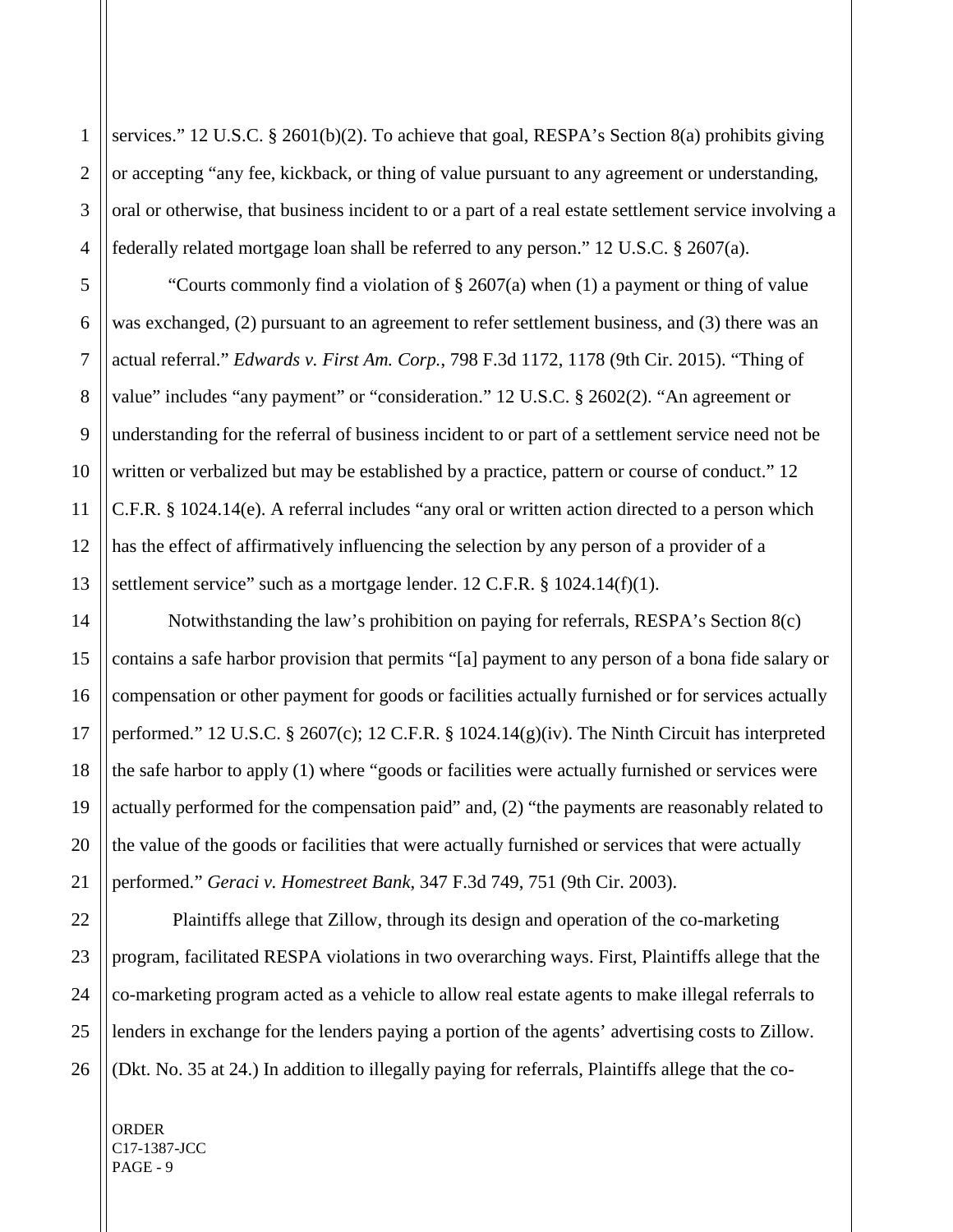1 services." 12 U.S.C. § 2601(b)(2). To achieve that goal, RESPA's Section 8(a) prohibits giving or accepting "any fee, kickback, or thing of value pursuant to any agreement or understanding, oral or otherwise, that business incident to or a part of a real estate settlement service involving a federally related mortgage loan shall be referred to any person." 12 U.S.C. § 2607(a).

"Courts commonly find a violation of  $\S 2607(a)$  when (1) a payment or thing of value was exchanged, (2) pursuant to an agreement to refer settlement business, and (3) there was an actual referral." *Edwards v. First Am. Corp.*, 798 F.3d 1172, 1178 (9th Cir. 2015). "Thing of value" includes "any payment" or "consideration." 12 U.S.C. § 2602(2). "An agreement or understanding for the referral of business incident to or part of a settlement service need not be written or verbalized but may be established by a practice, pattern or course of conduct." 12 C.F.R. § 1024.14(e). A referral includes "any oral or written action directed to a person which has the effect of affirmatively influencing the selection by any person of a provider of a settlement service" such as a mortgage lender. 12 C.F.R. § 1024.14(f)(1).

Notwithstanding the law's prohibition on paying for referrals, RESPA's Section 8(c) contains a safe harbor provision that permits "[a] payment to any person of a bona fide salary or compensation or other payment for goods or facilities actually furnished or for services actually performed." 12 U.S.C. § 2607(c); 12 C.F.R. § 1024.14(g)(iv). The Ninth Circuit has interpreted the safe harbor to apply (1) where "goods or facilities were actually furnished or services were actually performed for the compensation paid" and, (2) "the payments are reasonably related to the value of the goods or facilities that were actually furnished or services that were actually performed." *Geraci v. Homestreet Bank*, 347 F.3d 749, 751 (9th Cir. 2003).

Plaintiffs allege that Zillow, through its design and operation of the co-marketing program, facilitated RESPA violations in two overarching ways. First, Plaintiffs allege that the co-marketing program acted as a vehicle to allow real estate agents to make illegal referrals to lenders in exchange for the lenders paying a portion of the agents' advertising costs to Zillow. (Dkt. No. 35 at 24.) In addition to illegally paying for referrals, Plaintiffs allege that the co-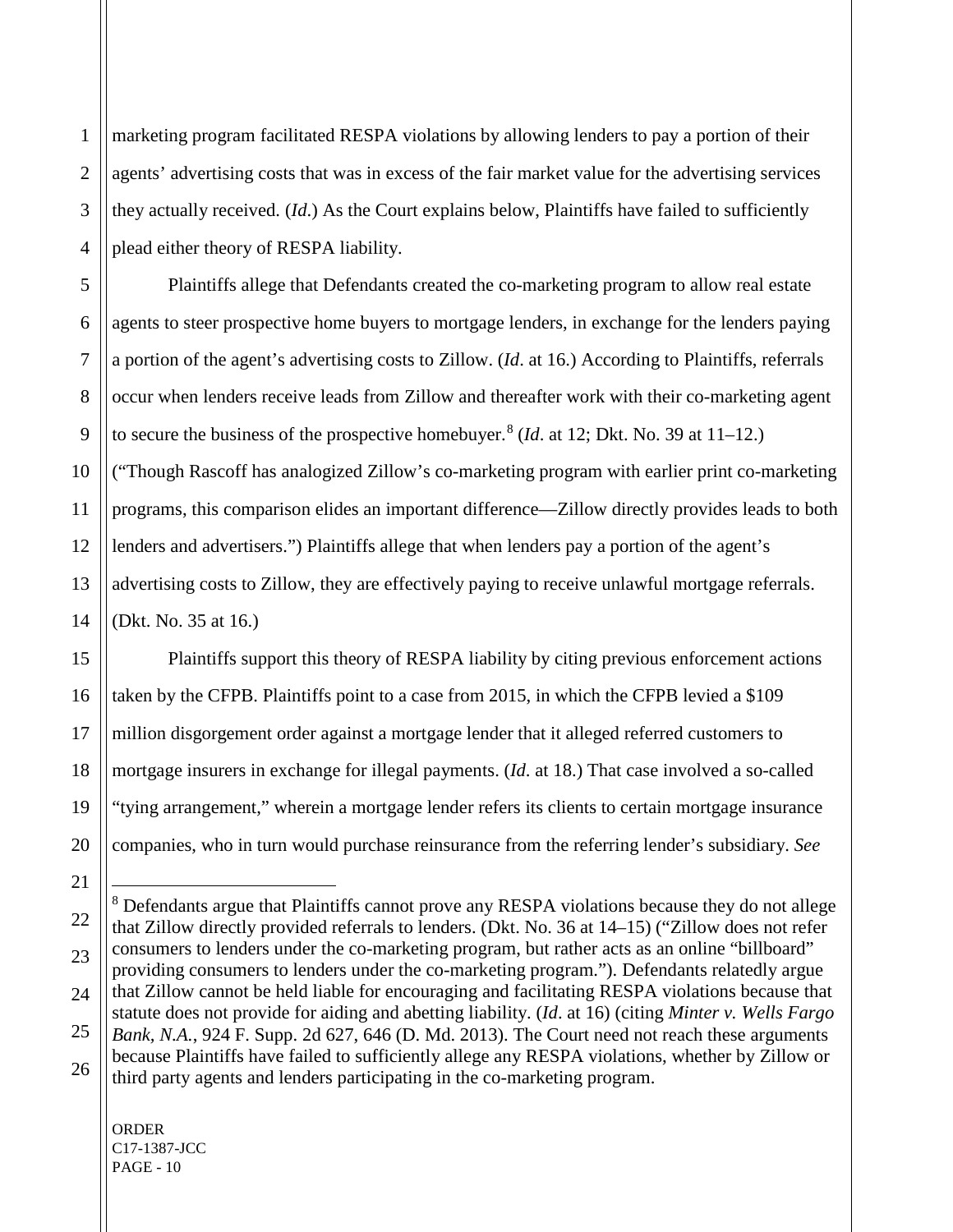marketing program facilitated RESPA violations by allowing lenders to pay a portion of their agents' advertising costs that was in excess of the fair market value for the advertising services they actually received. (*Id*.) As the Court explains below, Plaintiffs have failed to sufficiently plead either theory of RESPA liability.

Plaintiffs allege that Defendants created the co-marketing program to allow real estate agents to steer prospective home buyers to mortgage lenders, in exchange for the lenders paying a portion of the agent's advertising costs to Zillow. (*Id*. at 16.) According to Plaintiffs, referrals occur when lenders receive leads from Zillow and thereafter work with their co-marketing agent to secure the business of the prospective homebuyer. [8](#page-9-0) (*Id*. at 12; Dkt. No. 39 at 11–12.) ("Though Rascoff has analogized Zillow's co-marketing program with earlier print co-marketing programs, this comparison elides an important difference—Zillow directly provides leads to both lenders and advertisers.") Plaintiffs allege that when lenders pay a portion of the agent's advertising costs to Zillow, they are effectively paying to receive unlawful mortgage referrals. (Dkt. No. 35 at 16.)

Plaintiffs support this theory of RESPA liability by citing previous enforcement actions taken by the CFPB. Plaintiffs point to a case from 2015, in which the CFPB levied a \$109 million disgorgement order against a mortgage lender that it alleged referred customers to mortgage insurers in exchange for illegal payments. (*Id*. at 18.) That case involved a so-called "tying arrangement," wherein a mortgage lender refers its clients to certain mortgage insurance companies, who in turn would purchase reinsurance from the referring lender's subsidiary. *See*

<span id="page-9-0"></span><sup>8</sup> Defendants argue that Plaintiffs cannot prove any RESPA violations because they do not allege that Zillow directly provided referrals to lenders. (Dkt. No. 36 at 14–15) ("Zillow does not refer consumers to lenders under the co-marketing program, but rather acts as an online "billboard" providing consumers to lenders under the co-marketing program."). Defendants relatedly argue that Zillow cannot be held liable for encouraging and facilitating RESPA violations because that statute does not provide for aiding and abetting liability. (*Id*. at 16) (citing *Minter v. Wells Fargo Bank, N.A.*, 924 F. Supp. 2d 627, 646 (D. Md. 2013). The Court need not reach these arguments because Plaintiffs have failed to sufficiently allege any RESPA violations, whether by Zillow or third party agents and lenders participating in the co-marketing program.

ORDER C17-1387-JCC PAGE - 10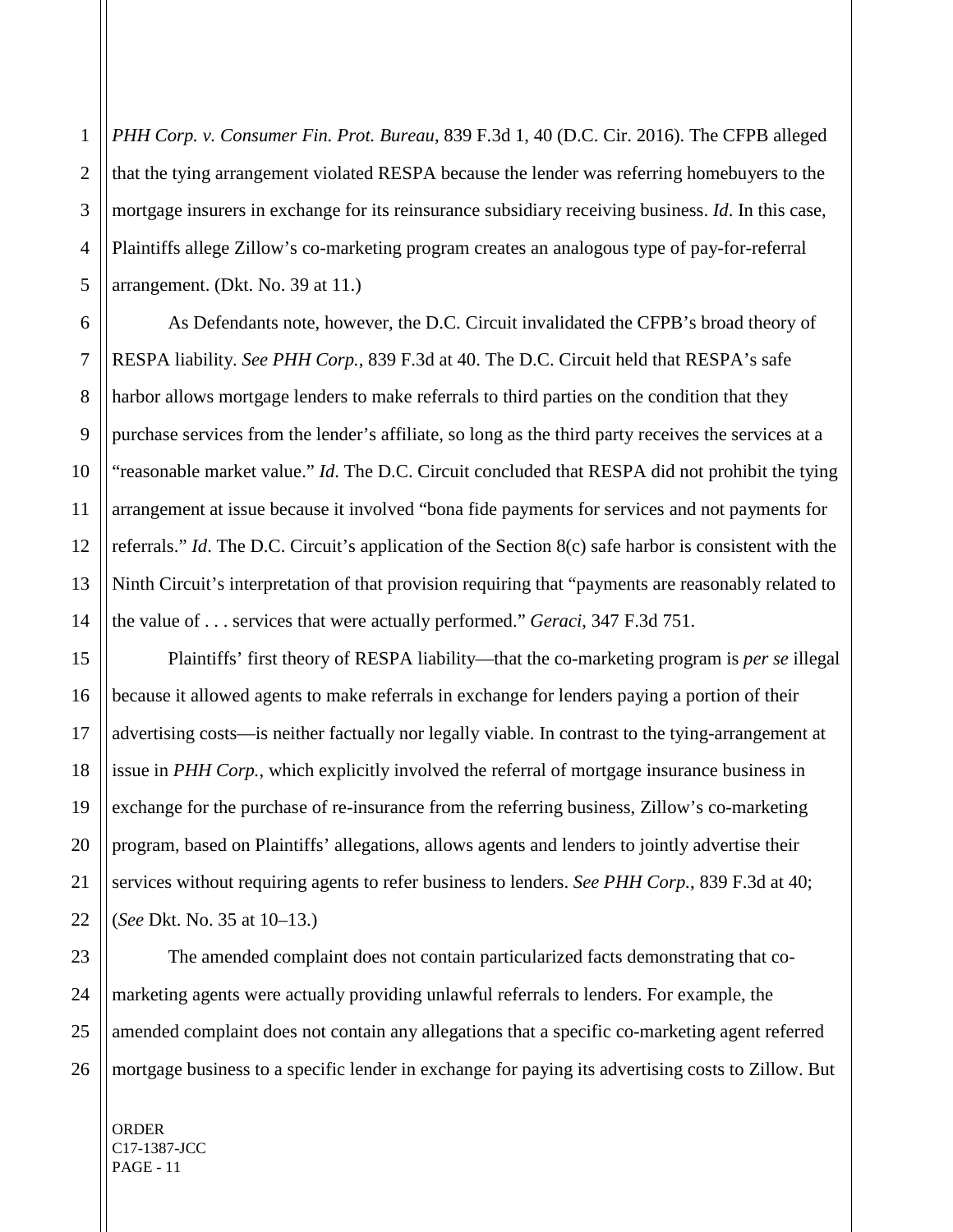*PHH Corp. v. Consumer Fin. Prot. Bureau*, 839 F.3d 1, 40 (D.C. Cir. 2016). The CFPB alleged that the tying arrangement violated RESPA because the lender was referring homebuyers to the mortgage insurers in exchange for its reinsurance subsidiary receiving business. *Id*. In this case, Plaintiffs allege Zillow's co-marketing program creates an analogous type of pay-for-referral arrangement. (Dkt. No. 39 at 11.)

As Defendants note, however, the D.C. Circuit invalidated the CFPB's broad theory of RESPA liability. *See PHH Corp.*, 839 F.3d at 40. The D.C. Circuit held that RESPA's safe harbor allows mortgage lenders to make referrals to third parties on the condition that they purchase services from the lender's affiliate, so long as the third party receives the services at a "reasonable market value." *Id*. The D.C. Circuit concluded that RESPA did not prohibit the tying arrangement at issue because it involved "bona fide payments for services and not payments for referrals." *Id*. The D.C. Circuit's application of the Section 8(c) safe harbor is consistent with the Ninth Circuit's interpretation of that provision requiring that "payments are reasonably related to the value of . . . services that were actually performed." *Geraci*, 347 F.3d 751.

Plaintiffs' first theory of RESPA liability—that the co-marketing program is *per se* illegal because it allowed agents to make referrals in exchange for lenders paying a portion of their advertising costs—is neither factually nor legally viable. In contrast to the tying-arrangement at issue in *PHH Corp.*, which explicitly involved the referral of mortgage insurance business in exchange for the purchase of re-insurance from the referring business, Zillow's co-marketing program, based on Plaintiffs' allegations, allows agents and lenders to jointly advertise their services without requiring agents to refer business to lenders. *See PHH Corp.*, 839 F.3d at 40; (*See* Dkt. No. 35 at 10–13.)

The amended complaint does not contain particularized facts demonstrating that comarketing agents were actually providing unlawful referrals to lenders. For example, the amended complaint does not contain any allegations that a specific co-marketing agent referred mortgage business to a specific lender in exchange for paying its advertising costs to Zillow. But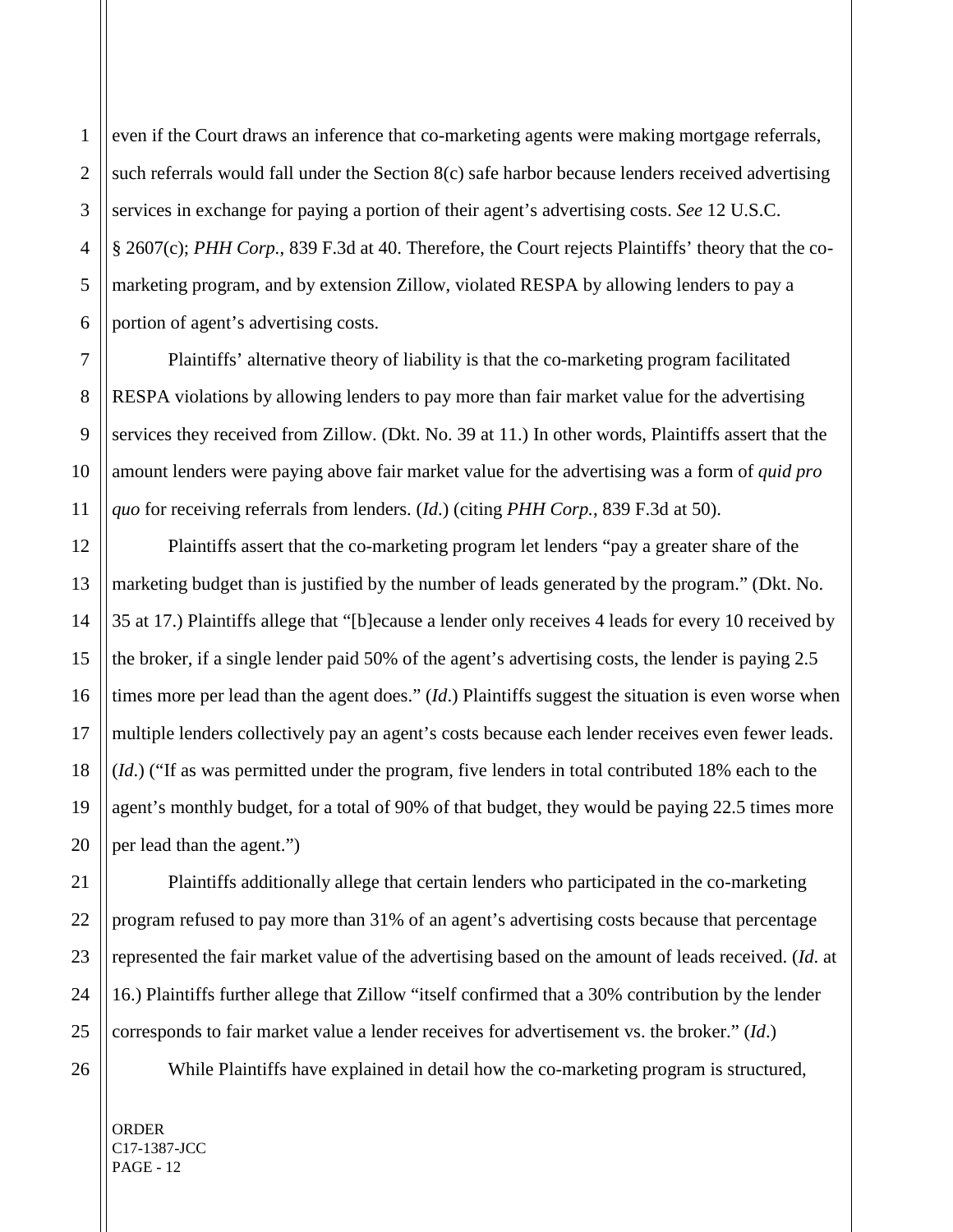even if the Court draws an inference that co-marketing agents were making mortgage referrals, such referrals would fall under the Section 8(c) safe harbor because lenders received advertising services in exchange for paying a portion of their agent's advertising costs. *See* 12 U.S.C. § 2607(c); *PHH Corp.*, 839 F.3d at 40. Therefore, the Court rejects Plaintiffs' theory that the comarketing program, and by extension Zillow, violated RESPA by allowing lenders to pay a portion of agent's advertising costs.

Plaintiffs' alternative theory of liability is that the co-marketing program facilitated RESPA violations by allowing lenders to pay more than fair market value for the advertising services they received from Zillow. (Dkt. No. 39 at 11.) In other words, Plaintiffs assert that the amount lenders were paying above fair market value for the advertising was a form of *quid pro quo* for receiving referrals from lenders. (*Id*.) (citing *PHH Corp.*, 839 F.3d at 50).

Plaintiffs assert that the co-marketing program let lenders "pay a greater share of the marketing budget than is justified by the number of leads generated by the program." (Dkt. No. 35 at 17.) Plaintiffs allege that "[b]ecause a lender only receives 4 leads for every 10 received by the broker, if a single lender paid 50% of the agent's advertising costs, the lender is paying 2.5 times more per lead than the agent does." (*Id*.) Plaintiffs suggest the situation is even worse when multiple lenders collectively pay an agent's costs because each lender receives even fewer leads. (*Id*.) ("If as was permitted under the program, five lenders in total contributed 18% each to the agent's monthly budget, for a total of 90% of that budget, they would be paying 22.5 times more per lead than the agent.")

Plaintiffs additionally allege that certain lenders who participated in the co-marketing program refused to pay more than 31% of an agent's advertising costs because that percentage represented the fair market value of the advertising based on the amount of leads received. (*Id*. at 16.) Plaintiffs further allege that Zillow "itself confirmed that a 30% contribution by the lender corresponds to fair market value a lender receives for advertisement vs. the broker." (*Id*.)

26

While Plaintiffs have explained in detail how the co-marketing program is structured,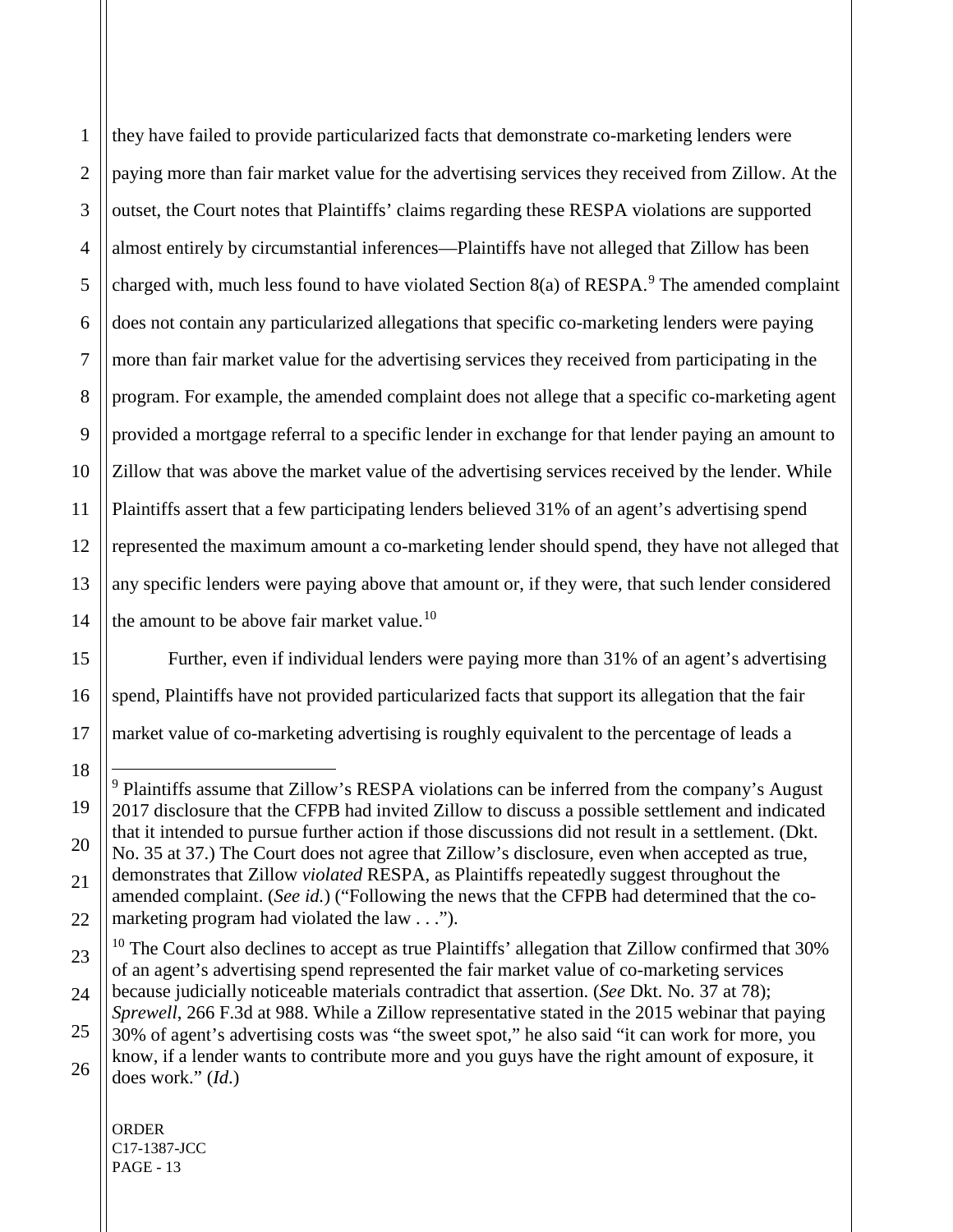they have failed to provide particularized facts that demonstrate co-marketing lenders were paying more than fair market value for the advertising services they received from Zillow. At the outset, the Court notes that Plaintiffs' claims regarding these RESPA violations are supported almost entirely by circumstantial inferences—Plaintiffs have not alleged that Zillow has been charged with, much less found to have violated Section 8(a) of RESPA.<sup>[9](#page-12-0)</sup> The amended complaint does not contain any particularized allegations that specific co-marketing lenders were paying more than fair market value for the advertising services they received from participating in the program. For example, the amended complaint does not allege that a specific co-marketing agent provided a mortgage referral to a specific lender in exchange for that lender paying an amount to Zillow that was above the market value of the advertising services received by the lender. While Plaintiffs assert that a few participating lenders believed 31% of an agent's advertising spend represented the maximum amount a co-marketing lender should spend, they have not alleged that any specific lenders were paying above that amount or, if they were, that such lender considered the amount to be above fair market value.<sup>[10](#page-12-1)</sup>

Further, even if individual lenders were paying more than 31% of an agent's advertising spend, Plaintiffs have not provided particularized facts that support its allegation that the fair market value of co-marketing advertising is roughly equivalent to the percentage of leads a

ORDER C17-1387-JCC PAGE - 13

<span id="page-12-0"></span><sup>&</sup>lt;sup>9</sup> Plaintiffs assume that Zillow's RESPA violations can be inferred from the company's August 2017 disclosure that the CFPB had invited Zillow to discuss a possible settlement and indicated that it intended to pursue further action if those discussions did not result in a settlement. (Dkt. No. 35 at 37.) The Court does not agree that Zillow's disclosure, even when accepted as true, demonstrates that Zillow *violated* RESPA, as Plaintiffs repeatedly suggest throughout the amended complaint. (*See id.*) ("Following the news that the CFPB had determined that the comarketing program had violated the law . . .").

<span id="page-12-1"></span> $10$  The Court also declines to accept as true Plaintiffs' allegation that Zillow confirmed that 30% of an agent's advertising spend represented the fair market value of co-marketing services because judicially noticeable materials contradict that assertion. (*See* Dkt. No. 37 at 78); *Sprewell*, 266 F.3d at 988. While a Zillow representative stated in the 2015 webinar that paying 30% of agent's advertising costs was "the sweet spot," he also said "it can work for more, you know, if a lender wants to contribute more and you guys have the right amount of exposure, it does work." (*Id*.)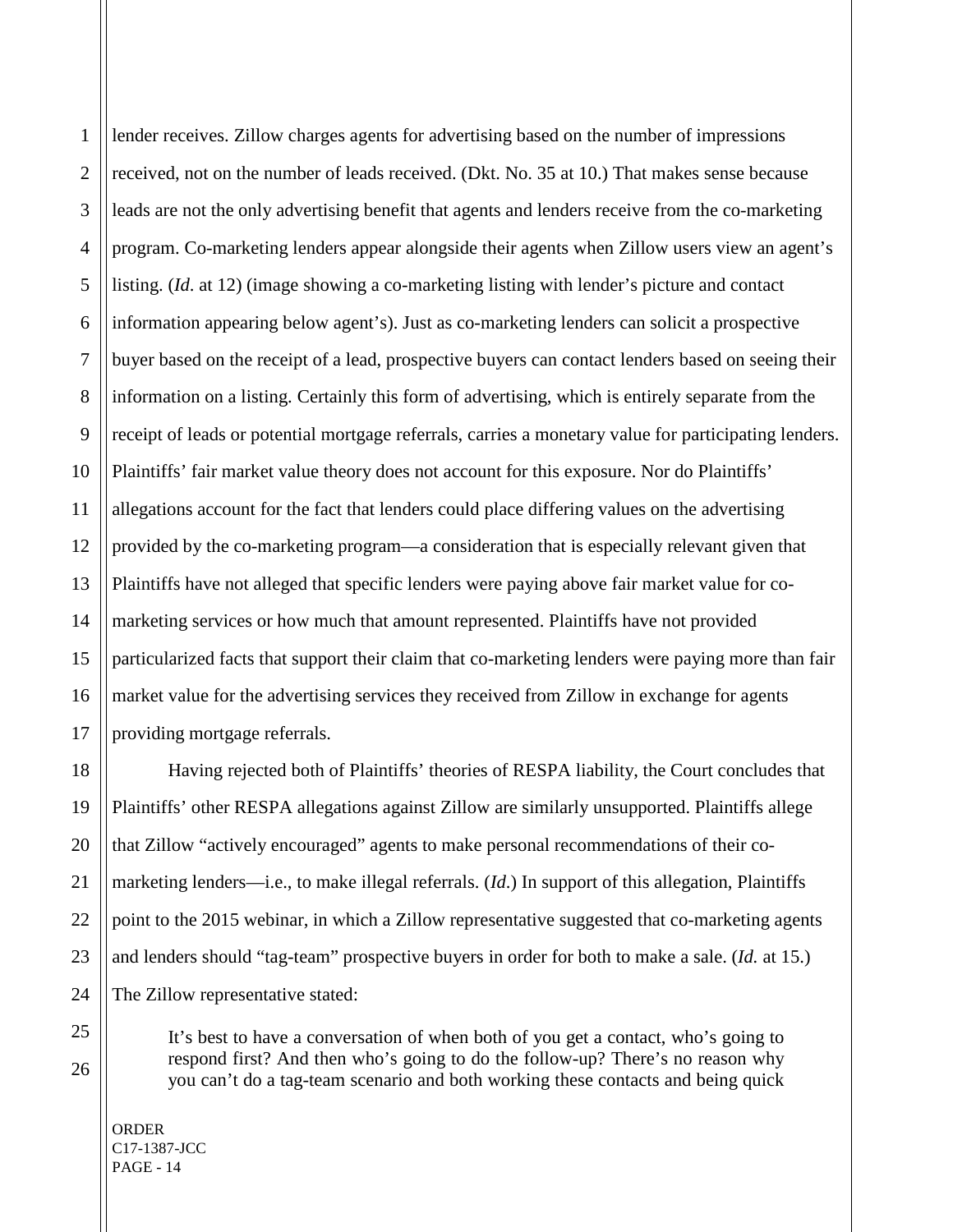1 2 3 4 5 6 7 8 9 lender receives. Zillow charges agents for advertising based on the number of impressions received, not on the number of leads received. (Dkt. No. 35 at 10.) That makes sense because leads are not the only advertising benefit that agents and lenders receive from the co-marketing program. Co-marketing lenders appear alongside their agents when Zillow users view an agent's listing. (*Id*. at 12) (image showing a co-marketing listing with lender's picture and contact information appearing below agent's). Just as co-marketing lenders can solicit a prospective buyer based on the receipt of a lead, prospective buyers can contact lenders based on seeing their information on a listing. Certainly this form of advertising, which is entirely separate from the receipt of leads or potential mortgage referrals, carries a monetary value for participating lenders. Plaintiffs' fair market value theory does not account for this exposure. Nor do Plaintiffs' allegations account for the fact that lenders could place differing values on the advertising provided by the co-marketing program—a consideration that is especially relevant given that Plaintiffs have not alleged that specific lenders were paying above fair market value for comarketing services or how much that amount represented. Plaintiffs have not provided particularized facts that support their claim that co-marketing lenders were paying more than fair market value for the advertising services they received from Zillow in exchange for agents providing mortgage referrals. Having rejected both of Plaintiffs' theories of RESPA liability, the Court concludes that

Plaintiffs' other RESPA allegations against Zillow are similarly unsupported. Plaintiffs allege that Zillow "actively encouraged" agents to make personal recommendations of their comarketing lenders—i.e., to make illegal referrals. (*Id*.) In support of this allegation, Plaintiffs point to the 2015 webinar, in which a Zillow representative suggested that co-marketing agents and lenders should "tag-team" prospective buyers in order for both to make a sale. (*Id.* at 15.) The Zillow representative stated:

It's best to have a conversation of when both of you get a contact, who's going to respond first? And then who's going to do the follow-up? There's no reason why you can't do a tag-team scenario and both working these contacts and being quick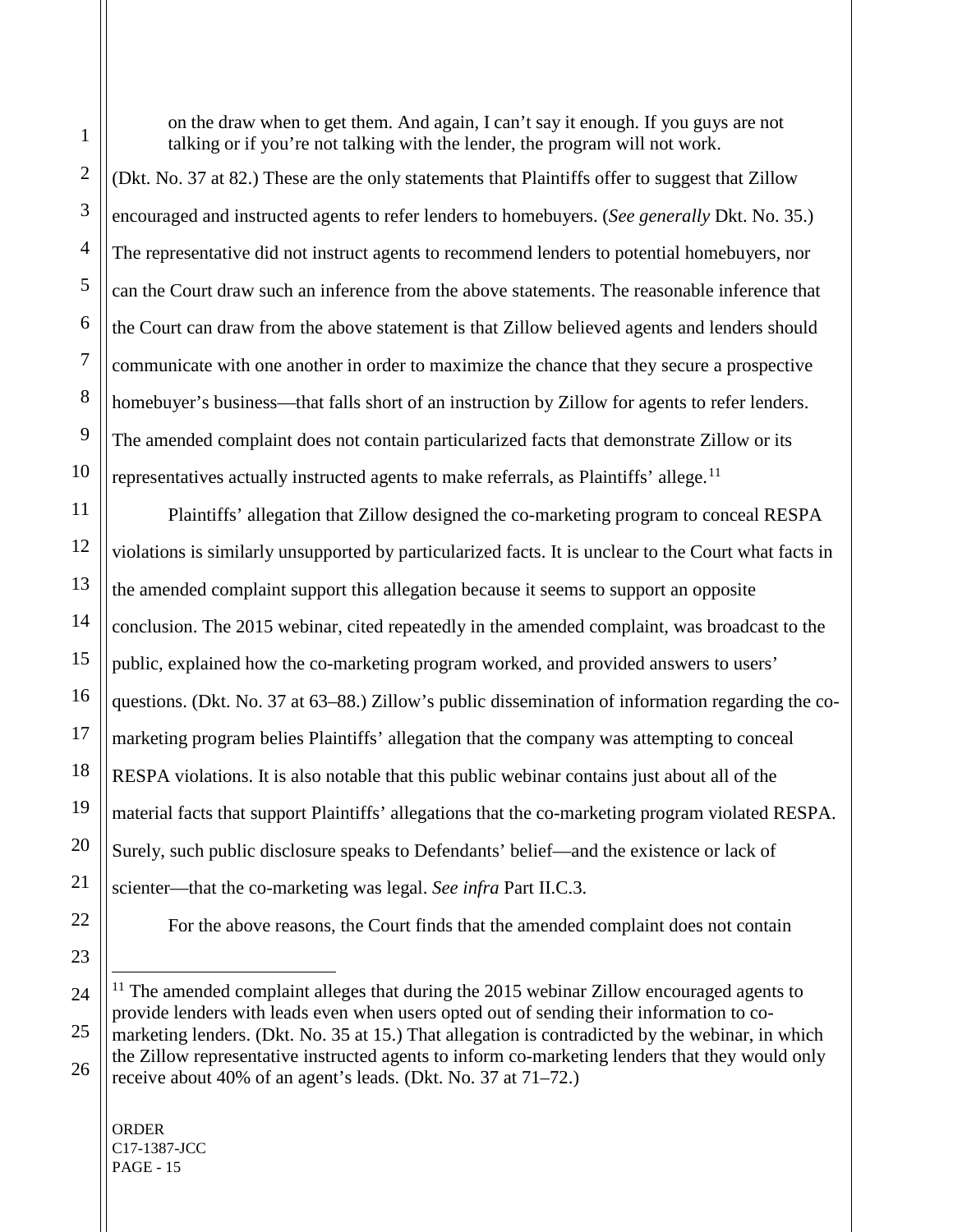on the draw when to get them. And again, I can't say it enough. If you guys are not talking or if you're not talking with the lender, the program will not work.

(Dkt. No. 37 at 82.) These are the only statements that Plaintiffs offer to suggest that Zillow encouraged and instructed agents to refer lenders to homebuyers. (*See generally* Dkt. No. 35.) The representative did not instruct agents to recommend lenders to potential homebuyers, nor can the Court draw such an inference from the above statements. The reasonable inference that the Court can draw from the above statement is that Zillow believed agents and lenders should communicate with one another in order to maximize the chance that they secure a prospective homebuyer's business—that falls short of an instruction by Zillow for agents to refer lenders. The amended complaint does not contain particularized facts that demonstrate Zillow or its representatives actually instructed agents to make referrals, as Plaintiffs' allege.<sup>[11](#page-14-0)</sup>

Plaintiffs' allegation that Zillow designed the co-marketing program to conceal RESPA violations is similarly unsupported by particularized facts. It is unclear to the Court what facts in the amended complaint support this allegation because it seems to support an opposite conclusion. The 2015 webinar, cited repeatedly in the amended complaint, was broadcast to the public, explained how the co-marketing program worked, and provided answers to users' questions. (Dkt. No. 37 at 63–88.) Zillow's public dissemination of information regarding the comarketing program belies Plaintiffs' allegation that the company was attempting to conceal RESPA violations. It is also notable that this public webinar contains just about all of the material facts that support Plaintiffs' allegations that the co-marketing program violated RESPA. Surely, such public disclosure speaks to Defendants' belief—and the existence or lack of scienter—that the co-marketing was legal. *See infra* Part II.C.3.

For the above reasons, the Court finds that the amended complaint does not contain

<span id="page-14-0"></span> $11$  The amended complaint alleges that during the 2015 webinar Zillow encouraged agents to provide lenders with leads even when users opted out of sending their information to comarketing lenders. (Dkt. No. 35 at 15.) That allegation is contradicted by the webinar, in which the Zillow representative instructed agents to inform co-marketing lenders that they would only receive about 40% of an agent's leads. (Dkt. No. 37 at 71–72.)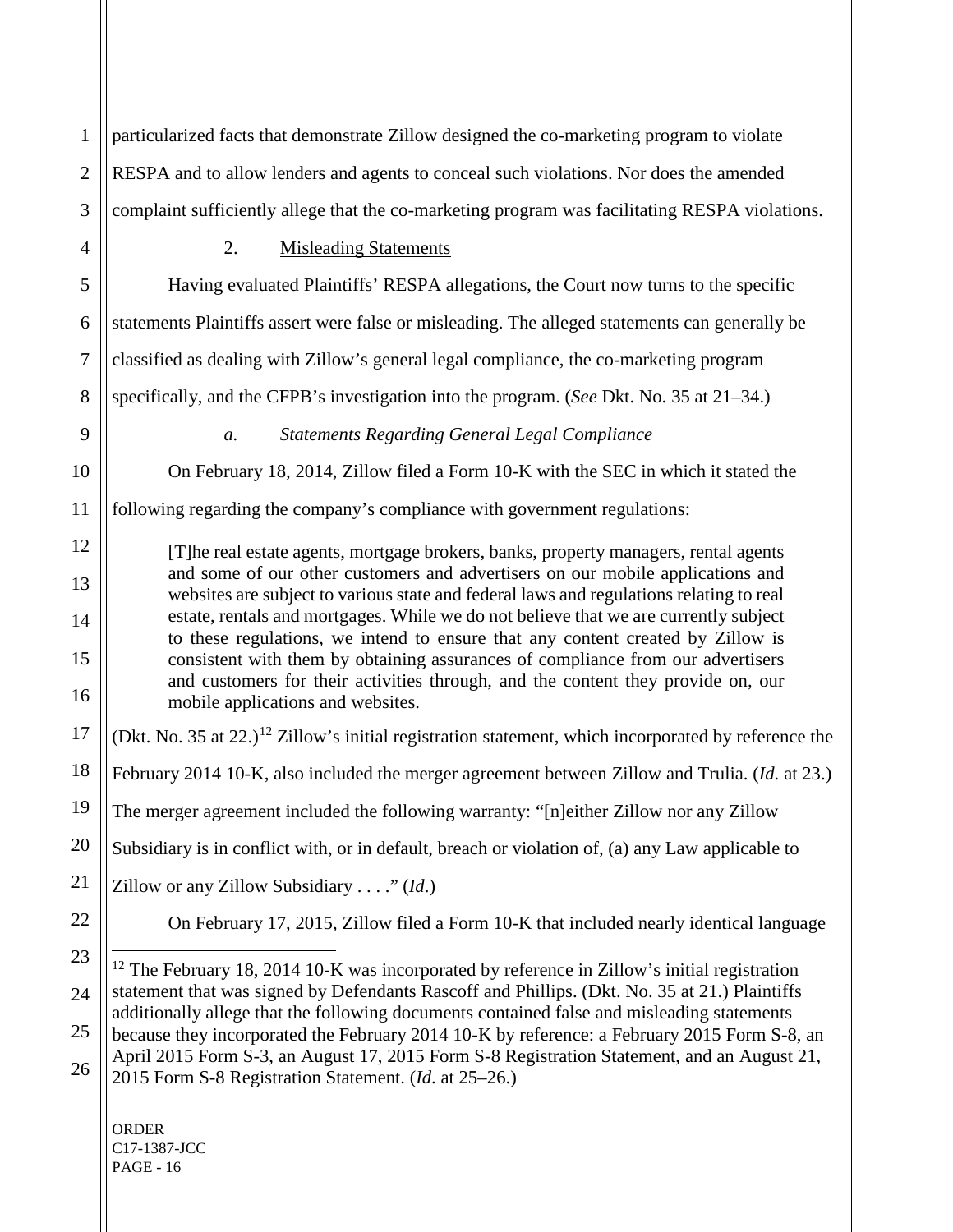<span id="page-15-0"></span>ORDER C17-1387-JCC PAGE - 16 1 2 3 4 5 6 7 8 9 10 11 12 13 14 15 16 17 18 19 20 21 22 23 24 25 26 particularized facts that demonstrate Zillow designed the co-marketing program to violate RESPA and to allow lenders and agents to conceal such violations. Nor does the amended complaint sufficiently allege that the co-marketing program was facilitating RESPA violations. 2. Misleading Statements Having evaluated Plaintiffs' RESPA allegations, the Court now turns to the specific statements Plaintiffs assert were false or misleading. The alleged statements can generally be classified as dealing with Zillow's general legal compliance, the co-marketing program specifically, and the CFPB's investigation into the program. (*See* Dkt. No. 35 at 21–34.) *a. Statements Regarding General Legal Compliance* On February 18, 2014, Zillow filed a Form 10-K with the SEC in which it stated the following regarding the company's compliance with government regulations: [T]he real estate agents, mortgage brokers, banks, property managers, rental agents and some of our other customers and advertisers on our mobile applications and websites are subject to various state and federal laws and regulations relating to real estate, rentals and mortgages. While we do not believe that we are currently subject to these regulations, we intend to ensure that any content created by Zillow is consistent with them by obtaining assurances of compliance from our advertisers and customers for their activities through, and the content they provide on, our mobile applications and websites. (Dkt. No. 35 at 22.)<sup>[12](#page-15-0)</sup> Zillow's initial registration statement, which incorporated by reference the February 2014 10-K, also included the merger agreement between Zillow and Trulia. (*Id*. at 23.) The merger agreement included the following warranty: "[n]either Zillow nor any Zillow Subsidiary is in conflict with, or in default, breach or violation of, (a) any Law applicable to Zillow or any Zillow Subsidiary . . . ." (*Id*.) On February 17, 2015, Zillow filed a Form 10-K that included nearly identical language  $12$  The February 18, 2014 10-K was incorporated by reference in Zillow's initial registration statement that was signed by Defendants Rascoff and Phillips. (Dkt. No. 35 at 21.) Plaintiffs additionally allege that the following documents contained false and misleading statements because they incorporated the February 2014 10-K by reference: a February 2015 Form S-8, an April 2015 Form S-3, an August 17, 2015 Form S-8 Registration Statement, and an August 21, 2015 Form S-8 Registration Statement. (*Id*. at 25–26.)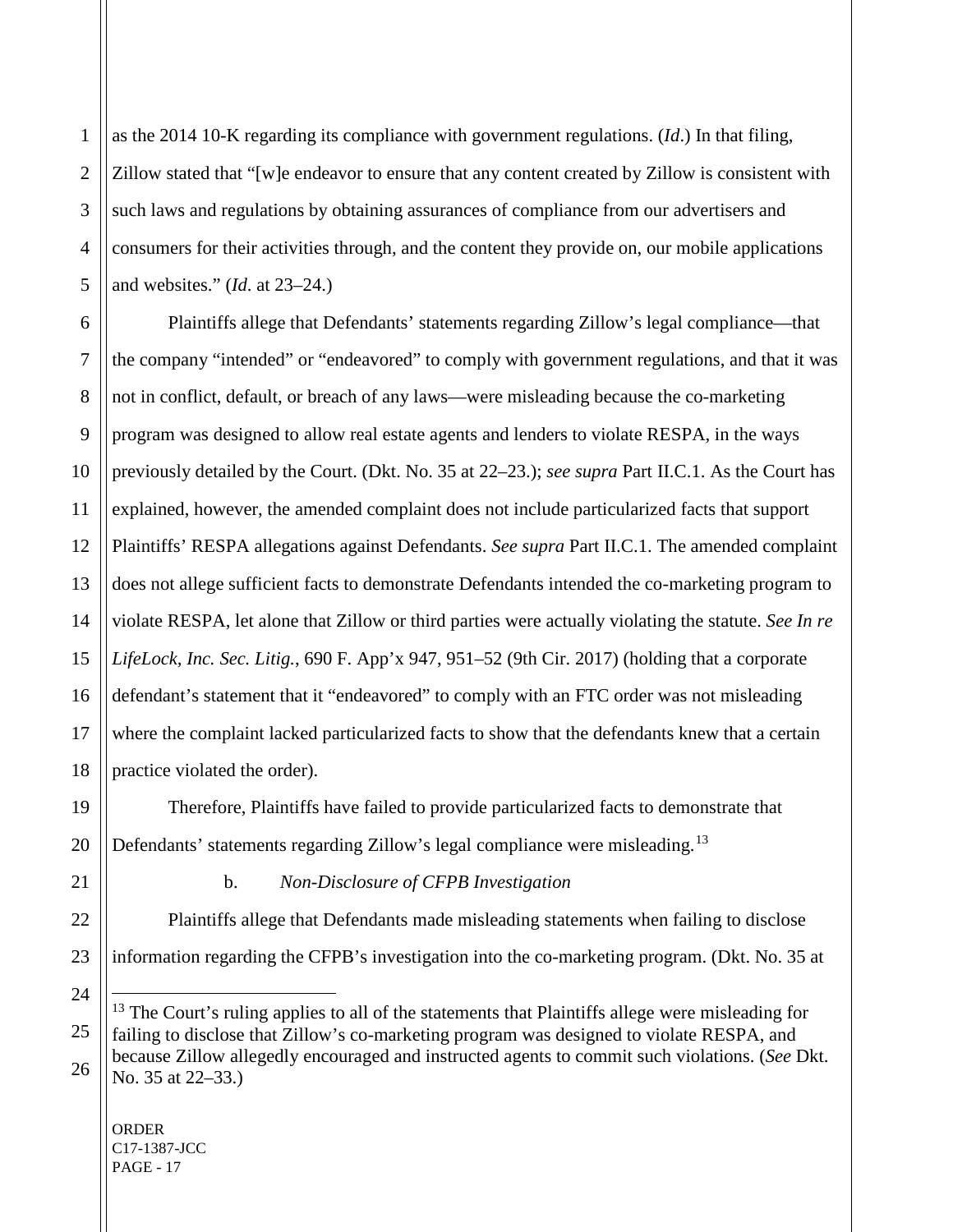1 as the 2014 10-K regarding its compliance with government regulations. (*Id*.) In that filing, Zillow stated that "[w]e endeavor to ensure that any content created by Zillow is consistent with such laws and regulations by obtaining assurances of compliance from our advertisers and consumers for their activities through, and the content they provide on, our mobile applications and websites." (*Id*. at 23–24.)

Plaintiffs allege that Defendants' statements regarding Zillow's legal compliance—that the company "intended" or "endeavored" to comply with government regulations, and that it was not in conflict, default, or breach of any laws—were misleading because the co-marketing program was designed to allow real estate agents and lenders to violate RESPA, in the ways previously detailed by the Court. (Dkt. No. 35 at 22–23.); *see supra* Part II.C.1. As the Court has explained, however, the amended complaint does not include particularized facts that support Plaintiffs' RESPA allegations against Defendants. *See supra* Part II.C.1. The amended complaint does not allege sufficient facts to demonstrate Defendants intended the co-marketing program to violate RESPA, let alone that Zillow or third parties were actually violating the statute. *See In re LifeLock, Inc. Sec. Litig.*, 690 F. App'x 947, 951–52 (9th Cir. 2017) (holding that a corporate defendant's statement that it "endeavored" to comply with an FTC order was not misleading where the complaint lacked particularized facts to show that the defendants knew that a certain practice violated the order).

Therefore, Plaintiffs have failed to provide particularized facts to demonstrate that Defendants' statements regarding Zillow's legal compliance were misleading.<sup>[13](#page-16-0)</sup>

### b. *Non-Disclosure of CFPB Investigation*

Plaintiffs allege that Defendants made misleading statements when failing to disclose information regarding the CFPB's investigation into the co-marketing program. (Dkt. No. 35 at

<span id="page-16-0"></span><sup>&</sup>lt;sup>13</sup> The Court's ruling applies to all of the statements that Plaintiffs allege were misleading for failing to disclose that Zillow's co-marketing program was designed to violate RESPA, and because Zillow allegedly encouraged and instructed agents to commit such violations. (*See* Dkt. No. 35 at 22–33.)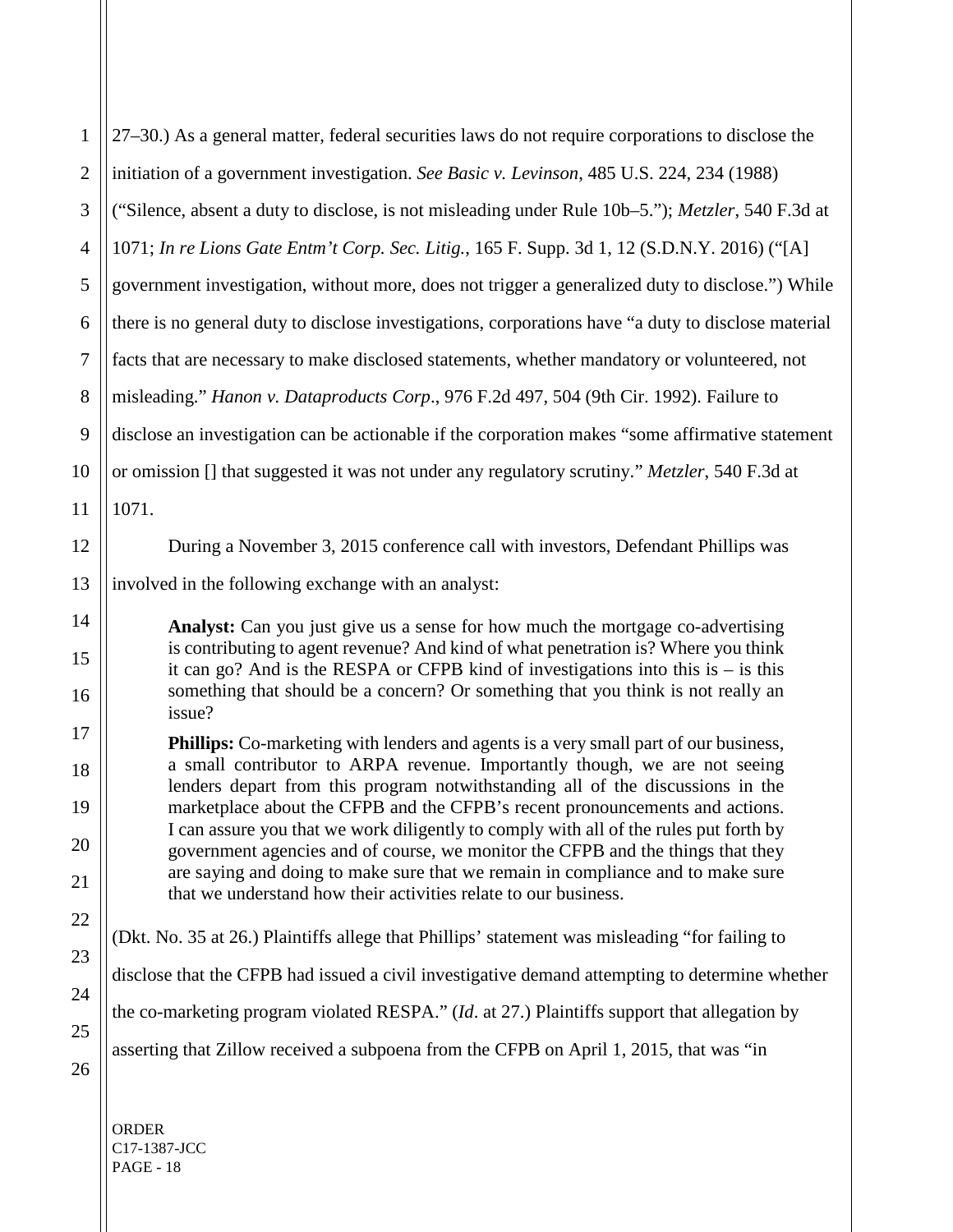| $\mathbf{1}$    | 27–30.) As a general matter, federal securities laws do not require corporations to disclose the                                                                          |
|-----------------|---------------------------------------------------------------------------------------------------------------------------------------------------------------------------|
| $\overline{2}$  | initiation of a government investigation. See Basic v. Levinson, 485 U.S. 224, 234 (1988)                                                                                 |
| 3               | ("Silence, absent a duty to disclose, is not misleading under Rule 10b-5."); Metzler, 540 F.3d at                                                                         |
| $\overline{4}$  | 1071; In re Lions Gate Entm't Corp. Sec. Litig., 165 F. Supp. 3d 1, 12 (S.D.N.Y. 2016) ("[A]                                                                              |
| 5               | government investigation, without more, does not trigger a generalized duty to disclose.") While                                                                          |
| 6               | there is no general duty to disclose investigations, corporations have "a duty to disclose material                                                                       |
| $\tau$          | facts that are necessary to make disclosed statements, whether mandatory or volunteered, not                                                                              |
| 8               | misleading." Hanon v. Dataproducts Corp., 976 F.2d 497, 504 (9th Cir. 1992). Failure to                                                                                   |
| 9               | disclose an investigation can be actionable if the corporation makes "some affirmative statement                                                                          |
| 10              | or omission [] that suggested it was not under any regulatory scrutiny." Metzler, 540 F.3d at                                                                             |
| 11              | 1071.                                                                                                                                                                     |
| 12              | During a November 3, 2015 conference call with investors, Defendant Phillips was                                                                                          |
| 13              | involved in the following exchange with an analyst:                                                                                                                       |
| $\overline{14}$ | <b>Analyst:</b> Can you just give us a sense for how much the mortgage co-advertising                                                                                     |
| 15              | is contributing to agent revenue? And kind of what penetration is? Where you think<br>it can go? And is the RESPA or CFPB kind of investigations into this is $-$ is this |
| 16              | something that should be a concern? Or something that you think is not really an<br>issue?                                                                                |
| 17              | <b>Phillips:</b> Co-marketing with lenders and agents is a very small part of our business,                                                                               |
| 18              | a small contributor to ARPA revenue. Importantly though, we are not seeing<br>lenders depart from this program notwithstanding all of the discussions in the              |
| 19              | marketplace about the CFPB and the CFPB's recent pronouncements and actions.<br>I can assure you that we work diligently to comply with all of the rules put forth by     |
| $20 \,$         | government agencies and of course, we monitor the CFPB and the things that they                                                                                           |
| 21              | are saying and doing to make sure that we remain in compliance and to make sure<br>that we understand how their activities relate to our business.                        |
| 22              | (Dkt. No. 35 at 26.) Plaintiffs allege that Phillips' statement was misleading "for failing to                                                                            |
| 23              | disclose that the CFPB had issued a civil investigative demand attempting to determine whether                                                                            |
| 24              | the co-marketing program violated RESPA." (Id. at 27.) Plaintiffs support that allegation by                                                                              |
| $25\text{ }$    | asserting that Zillow received a subpoena from the CFPB on April 1, 2015, that was "in                                                                                    |
| 26              |                                                                                                                                                                           |
|                 |                                                                                                                                                                           |

ORDER C17-1387-JCC PAGE - 18

Ш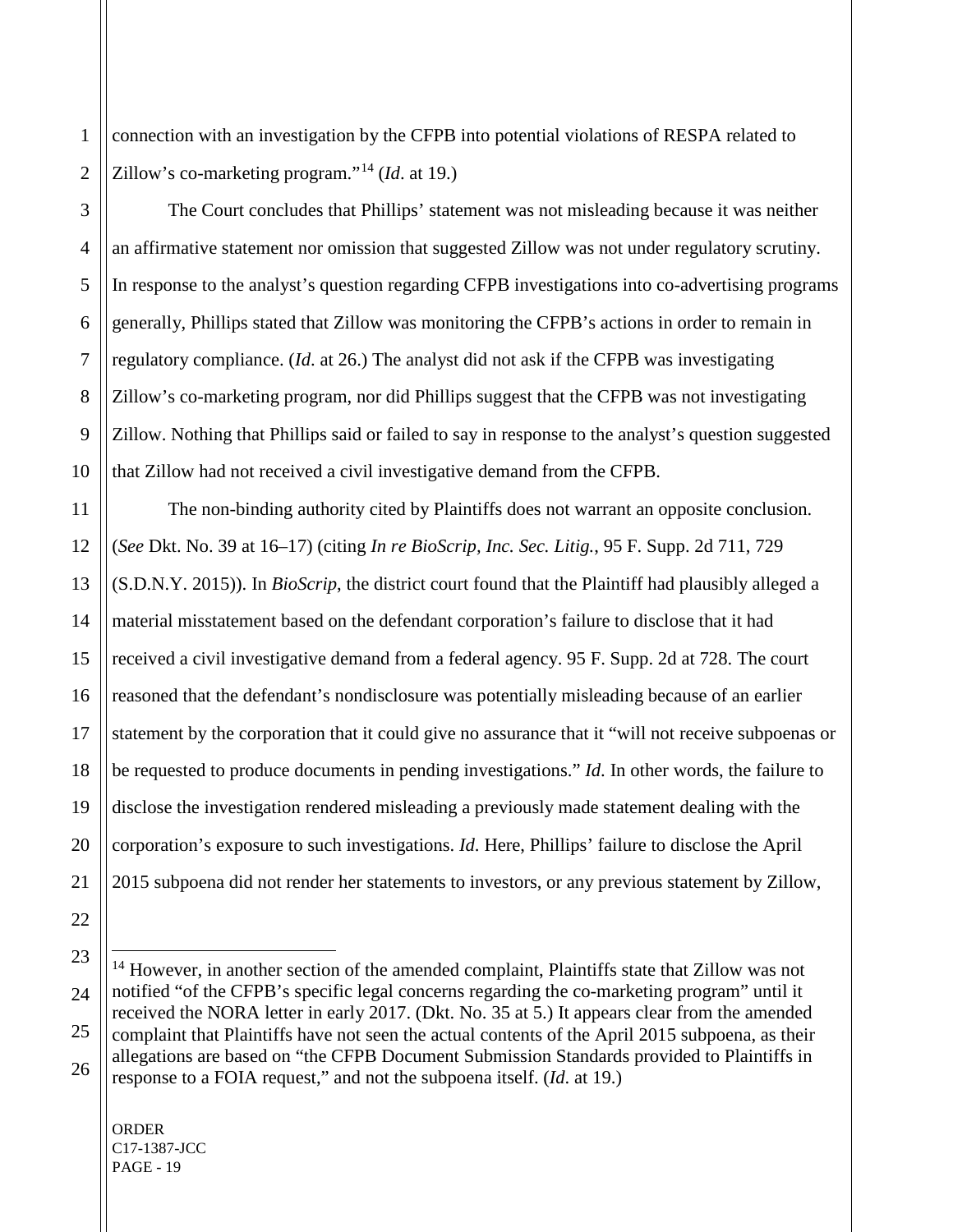connection with an investigation by the CFPB into potential violations of RESPA related to Zillow's co-marketing program."[14](#page-18-0) (*Id*. at 19.)

2

3

4

5

6

7

8

9

10

11

1

The Court concludes that Phillips' statement was not misleading because it was neither an affirmative statement nor omission that suggested Zillow was not under regulatory scrutiny. In response to the analyst's question regarding CFPB investigations into co-advertising programs generally, Phillips stated that Zillow was monitoring the CFPB's actions in order to remain in regulatory compliance. (*Id*. at 26.) The analyst did not ask if the CFPB was investigating Zillow's co-marketing program, nor did Phillips suggest that the CFPB was not investigating Zillow. Nothing that Phillips said or failed to say in response to the analyst's question suggested that Zillow had not received a civil investigative demand from the CFPB.

The non-binding authority cited by Plaintiffs does not warrant an opposite conclusion. (*See* Dkt. No. 39 at 16–17) (citing *In re BioScrip, Inc. Sec. Litig.*, 95 F. Supp. 2d 711, 729 (S.D.N.Y. 2015)). In *BioScrip*, the district court found that the Plaintiff had plausibly alleged a material misstatement based on the defendant corporation's failure to disclose that it had received a civil investigative demand from a federal agency. 95 F. Supp. 2d at 728. The court reasoned that the defendant's nondisclosure was potentially misleading because of an earlier statement by the corporation that it could give no assurance that it "will not receive subpoenas or be requested to produce documents in pending investigations." *Id*. In other words, the failure to disclose the investigation rendered misleading a previously made statement dealing with the corporation's exposure to such investigations. *Id*. Here, Phillips' failure to disclose the April 2015 subpoena did not render her statements to investors, or any previous statement by Zillow,

<span id="page-18-0"></span><sup>25</sup> 26  $14$  However, in another section of the amended complaint, Plaintiffs state that Zillow was not notified "of the CFPB's specific legal concerns regarding the co-marketing program" until it received the NORA letter in early 2017. (Dkt. No. 35 at 5.) It appears clear from the amended complaint that Plaintiffs have not seen the actual contents of the April 2015 subpoena, as their allegations are based on "the CFPB Document Submission Standards provided to Plaintiffs in response to a FOIA request," and not the subpoena itself. (*Id*. at 19.)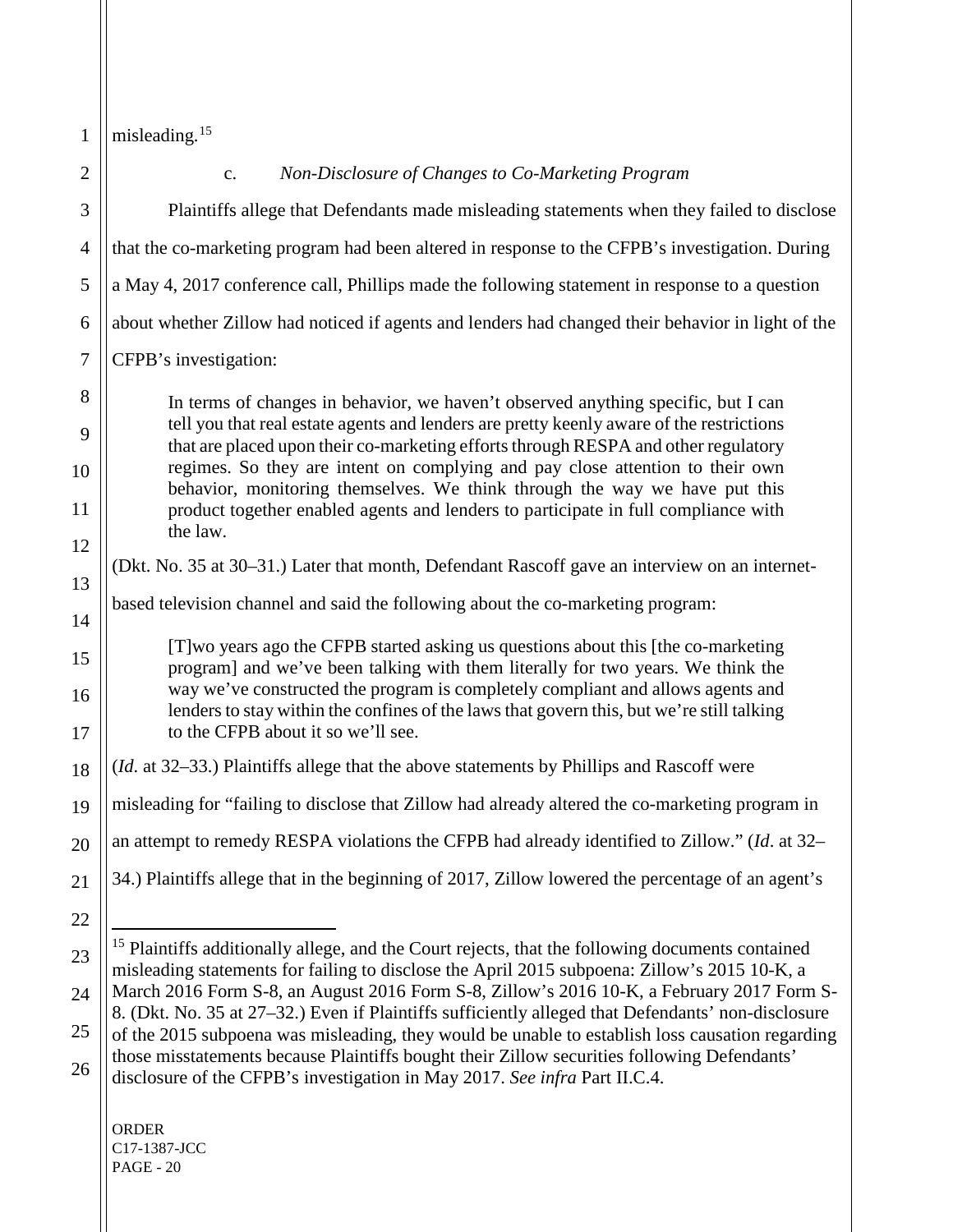1 misleading. $15$ 

2 3 4 5 6 7 8 9 10 11 12 13 14 15 16 17 18 19 20 21 22 23 24 25 26 <sup>15</sup> Plaintiffs additionally allege, and the Court rejects, that the following documents contained misleading statements for failing to disclose the April 2015 subpoena: Zillow's 2015 10-K, a March 2016 Form S-8, an August 2016 Form S-8, Zillow's 2016 10-K, a February 2017 Form S-8. (Dkt. No. 35 at 27–32.) Even if Plaintiffs sufficiently alleged that Defendants' non-disclosure of the 2015 subpoena was misleading, they would be unable to establish loss causation regarding those misstatements because Plaintiffs bought their Zillow securities following Defendants' disclosure of the CFPB's investigation in May 2017. *See infra* Part II.C.4.

# c. *Non-Disclosure of Changes to Co-Marketing Program*

Plaintiffs allege that Defendants made misleading statements when they failed to disclose that the co-marketing program had been altered in response to the CFPB's investigation. During a May 4, 2017 conference call, Phillips made the following statement in response to a question about whether Zillow had noticed if agents and lenders had changed their behavior in light of the CFPB's investigation:

In terms of changes in behavior, we haven't observed anything specific, but I can tell you that real estate agents and lenders are pretty keenly aware of the restrictions that are placed upon their co-marketing efforts through RESPA and other regulatory regimes. So they are intent on complying and pay close attention to their own behavior, monitoring themselves. We think through the way we have put this product together enabled agents and lenders to participate in full compliance with the law.

(Dkt. No. 35 at 30–31.) Later that month, Defendant Rascoff gave an interview on an internet-

based television channel and said the following about the co-marketing program:

[T]wo years ago the CFPB started asking us questions about this [the co-marketing program] and we've been talking with them literally for two years. We think the way we've constructed the program is completely compliant and allows agents and lenders to stay within the confines of the laws that govern this, but we're still talking to the CFPB about it so we'll see.

(*Id*. at 32–33.) Plaintiffs allege that the above statements by Phillips and Rascoff were

misleading for "failing to disclose that Zillow had already altered the co-marketing program in

an attempt to remedy RESPA violations the CFPB had already identified to Zillow." (*Id*. at 32–

<span id="page-19-0"></span>34.) Plaintiffs allege that in the beginning of 2017, Zillow lowered the percentage of an agent's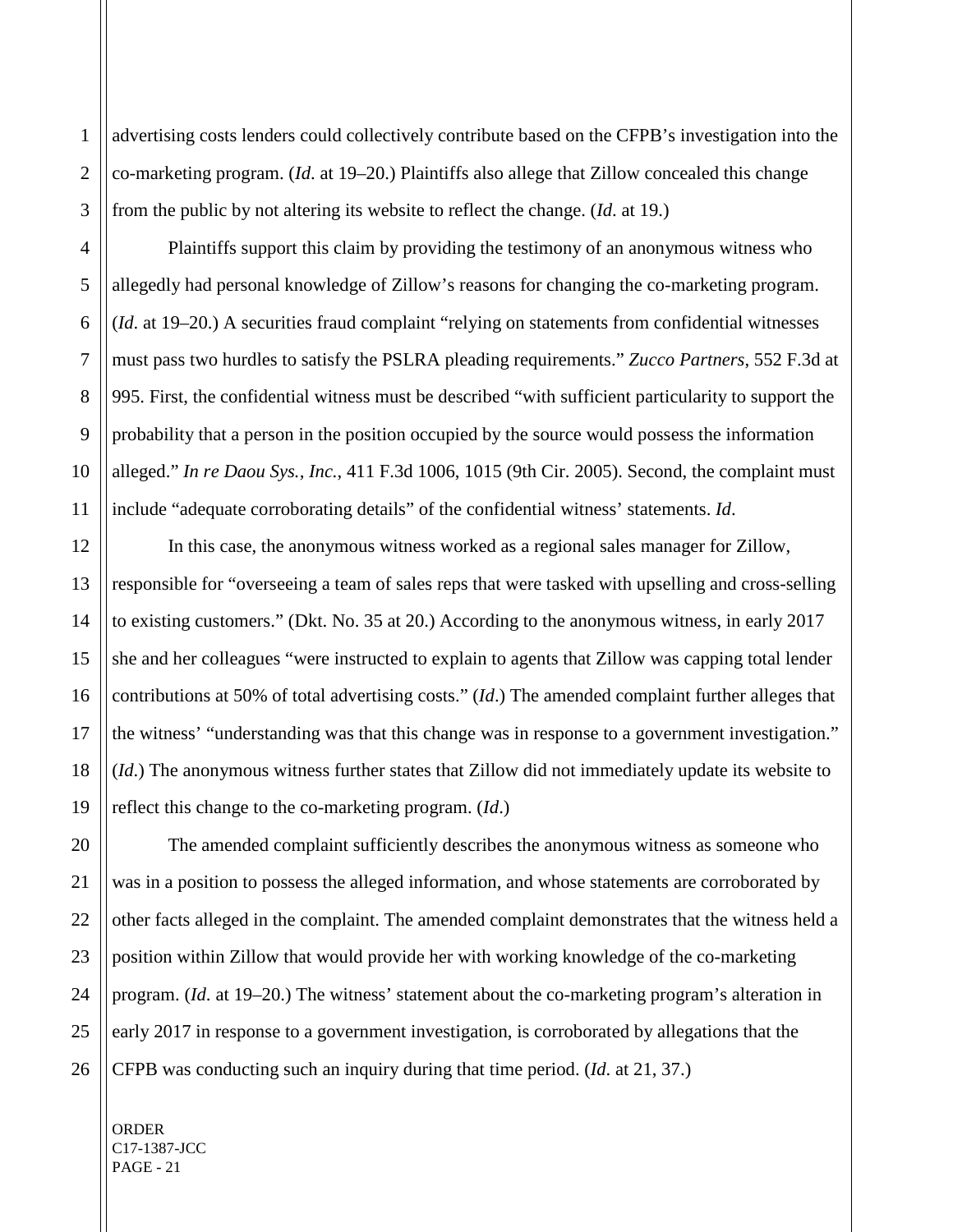advertising costs lenders could collectively contribute based on the CFPB's investigation into the co-marketing program. (*Id*. at 19–20.) Plaintiffs also allege that Zillow concealed this change from the public by not altering its website to reflect the change. (*Id*. at 19.)

Plaintiffs support this claim by providing the testimony of an anonymous witness who allegedly had personal knowledge of Zillow's reasons for changing the co-marketing program. (*Id*. at 19–20.) A securities fraud complaint "relying on statements from confidential witnesses must pass two hurdles to satisfy the PSLRA pleading requirements." *Zucco Partners*, 552 F.3d at 995. First, the confidential witness must be described "with sufficient particularity to support the probability that a person in the position occupied by the source would possess the information alleged." *In re Daou Sys., Inc.*, 411 F.3d 1006, 1015 (9th Cir. 2005). Second, the complaint must include "adequate corroborating details" of the confidential witness' statements. *Id*.

In this case, the anonymous witness worked as a regional sales manager for Zillow, responsible for "overseeing a team of sales reps that were tasked with upselling and cross-selling to existing customers." (Dkt. No. 35 at 20.) According to the anonymous witness, in early 2017 she and her colleagues "were instructed to explain to agents that Zillow was capping total lender contributions at 50% of total advertising costs." (*Id*.) The amended complaint further alleges that the witness' "understanding was that this change was in response to a government investigation." (*Id*.) The anonymous witness further states that Zillow did not immediately update its website to reflect this change to the co-marketing program. (*Id*.)

The amended complaint sufficiently describes the anonymous witness as someone who was in a position to possess the alleged information, and whose statements are corroborated by other facts alleged in the complaint. The amended complaint demonstrates that the witness held a position within Zillow that would provide her with working knowledge of the co-marketing program. (*Id*. at 19–20.) The witness' statement about the co-marketing program's alteration in early 2017 in response to a government investigation, is corroborated by allegations that the CFPB was conducting such an inquiry during that time period. (*Id*. at 21, 37.)

ORDER C17-1387-JCC PAGE - 21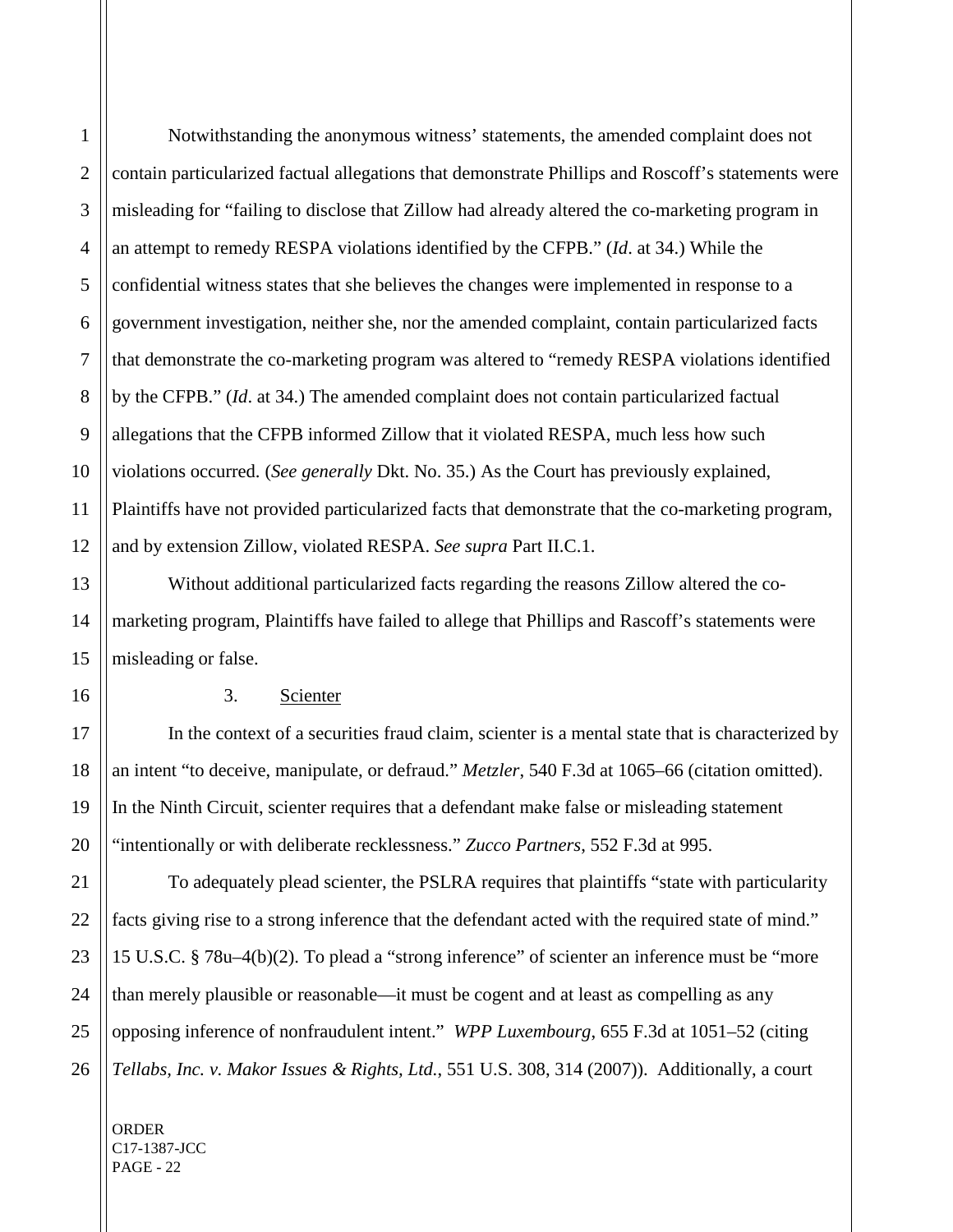Notwithstanding the anonymous witness' statements, the amended complaint does not contain particularized factual allegations that demonstrate Phillips and Roscoff's statements were misleading for "failing to disclose that Zillow had already altered the co-marketing program in an attempt to remedy RESPA violations identified by the CFPB." (*Id*. at 34.) While the confidential witness states that she believes the changes were implemented in response to a government investigation, neither she, nor the amended complaint, contain particularized facts that demonstrate the co-marketing program was altered to "remedy RESPA violations identified by the CFPB." (*Id*. at 34.) The amended complaint does not contain particularized factual allegations that the CFPB informed Zillow that it violated RESPA, much less how such violations occurred. (*See generally* Dkt. No. 35.) As the Court has previously explained, Plaintiffs have not provided particularized facts that demonstrate that the co-marketing program, and by extension Zillow, violated RESPA. *See supra* Part II.C.1.

Without additional particularized facts regarding the reasons Zillow altered the comarketing program, Plaintiffs have failed to allege that Phillips and Rascoff's statements were misleading or false.

#### 3. Scienter

In the context of a securities fraud claim, scienter is a mental state that is characterized by an intent "to deceive, manipulate, or defraud." *Metzler*, 540 F.3d at 1065–66 (citation omitted). In the Ninth Circuit, scienter requires that a defendant make false or misleading statement "intentionally or with deliberate recklessness." *Zucco Partners*, 552 F.3d at 995.

To adequately plead scienter, the PSLRA requires that plaintiffs "state with particularity facts giving rise to a strong inference that the defendant acted with the required state of mind." 15 U.S.C. § 78u–4(b)(2). To plead a "strong inference" of scienter an inference must be "more than merely plausible or reasonable—it must be cogent and at least as compelling as any opposing inference of nonfraudulent intent." *WPP Luxembourg*, 655 F.3d at 1051–52 (citing *Tellabs, Inc. v. Makor Issues & Rights, Ltd.*, 551 U.S. 308, 314 (2007)). Additionally, a court

ORDER C17-1387-JCC PAGE - 22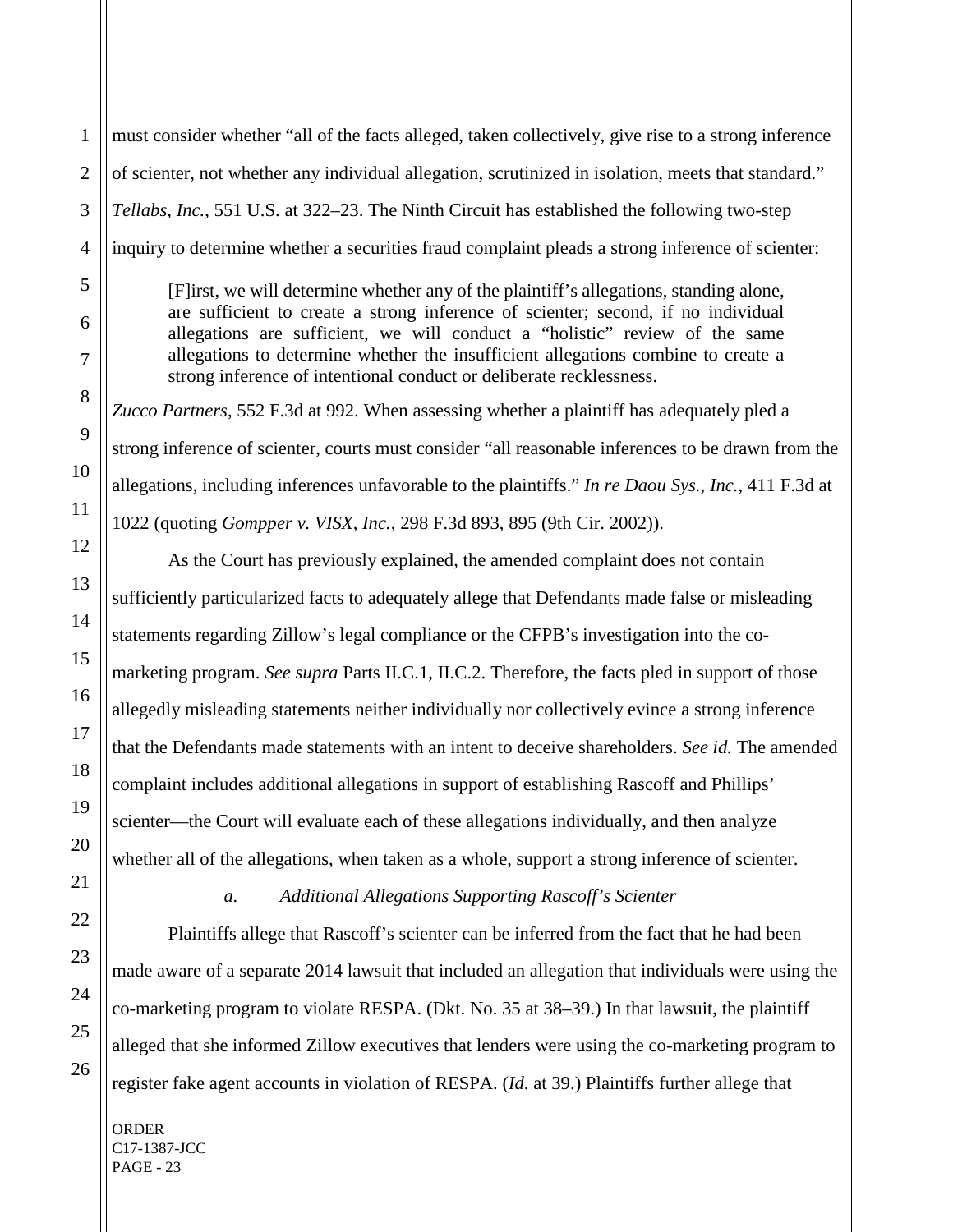must consider whether "all of the facts alleged, taken collectively, give rise to a strong inference of scienter, not whether any individual allegation, scrutinized in isolation, meets that standard." *Tellabs, Inc.*, 551 U.S. at 322–23. The Ninth Circuit has established the following two-step inquiry to determine whether a securities fraud complaint pleads a strong inference of scienter:

[F]irst, we will determine whether any of the plaintiff's allegations, standing alone, are sufficient to create a strong inference of scienter; second, if no individual allegations are sufficient, we will conduct a "holistic" review of the same allegations to determine whether the insufficient allegations combine to create a strong inference of intentional conduct or deliberate recklessness.

*Zucco Partners*, 552 F.3d at 992. When assessing whether a plaintiff has adequately pled a strong inference of scienter, courts must consider "all reasonable inferences to be drawn from the allegations, including inferences unfavorable to the plaintiffs." *In re Daou Sys., Inc.*, 411 F.3d at 1022 (quoting *Gompper v. VISX, Inc.*, 298 F.3d 893, 895 (9th Cir. 2002)).

As the Court has previously explained, the amended complaint does not contain sufficiently particularized facts to adequately allege that Defendants made false or misleading statements regarding Zillow's legal compliance or the CFPB's investigation into the comarketing program. *See supra* Parts II.C.1, II.C.2. Therefore, the facts pled in support of those allegedly misleading statements neither individually nor collectively evince a strong inference that the Defendants made statements with an intent to deceive shareholders. *See id.* The amended complaint includes additional allegations in support of establishing Rascoff and Phillips' scienter—the Court will evaluate each of these allegations individually, and then analyze whether all of the allegations, when taken as a whole, support a strong inference of scienter.

*a. Additional Allegations Supporting Rascoff's Scienter*

Plaintiffs allege that Rascoff's scienter can be inferred from the fact that he had been made aware of a separate 2014 lawsuit that included an allegation that individuals were using the co-marketing program to violate RESPA. (Dkt. No. 35 at 38–39.) In that lawsuit, the plaintiff alleged that she informed Zillow executives that lenders were using the co-marketing program to register fake agent accounts in violation of RESPA. (*Id*. at 39.) Plaintiffs further allege that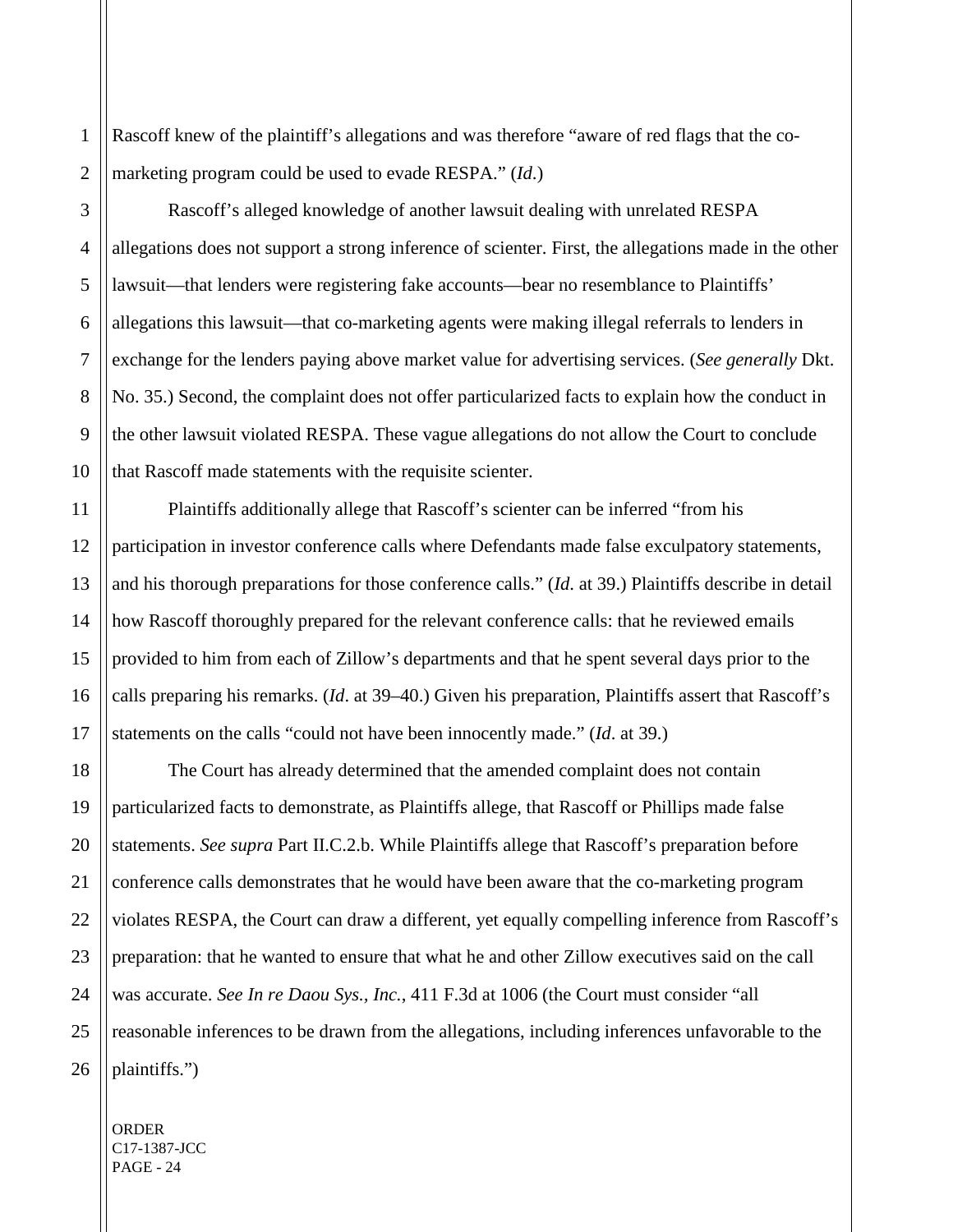Rascoff knew of the plaintiff's allegations and was therefore "aware of red flags that the comarketing program could be used to evade RESPA." (*Id*.)

1

Rascoff's alleged knowledge of another lawsuit dealing with unrelated RESPA allegations does not support a strong inference of scienter. First, the allegations made in the other lawsuit—that lenders were registering fake accounts—bear no resemblance to Plaintiffs' allegations this lawsuit—that co-marketing agents were making illegal referrals to lenders in exchange for the lenders paying above market value for advertising services. (*See generally* Dkt. No. 35.) Second, the complaint does not offer particularized facts to explain how the conduct in the other lawsuit violated RESPA. These vague allegations do not allow the Court to conclude that Rascoff made statements with the requisite scienter.

Plaintiffs additionally allege that Rascoff's scienter can be inferred "from his participation in investor conference calls where Defendants made false exculpatory statements, and his thorough preparations for those conference calls." (*Id*. at 39.) Plaintiffs describe in detail how Rascoff thoroughly prepared for the relevant conference calls: that he reviewed emails provided to him from each of Zillow's departments and that he spent several days prior to the calls preparing his remarks. (*Id*. at 39–40.) Given his preparation, Plaintiffs assert that Rascoff's statements on the calls "could not have been innocently made." (*Id*. at 39.)

The Court has already determined that the amended complaint does not contain particularized facts to demonstrate, as Plaintiffs allege, that Rascoff or Phillips made false statements. *See supra* Part II.C.2.b. While Plaintiffs allege that Rascoff's preparation before conference calls demonstrates that he would have been aware that the co-marketing program violates RESPA, the Court can draw a different, yet equally compelling inference from Rascoff's preparation: that he wanted to ensure that what he and other Zillow executives said on the call was accurate. *See In re Daou Sys., Inc.*, 411 F.3d at 1006 (the Court must consider "all reasonable inferences to be drawn from the allegations, including inferences unfavorable to the plaintiffs.")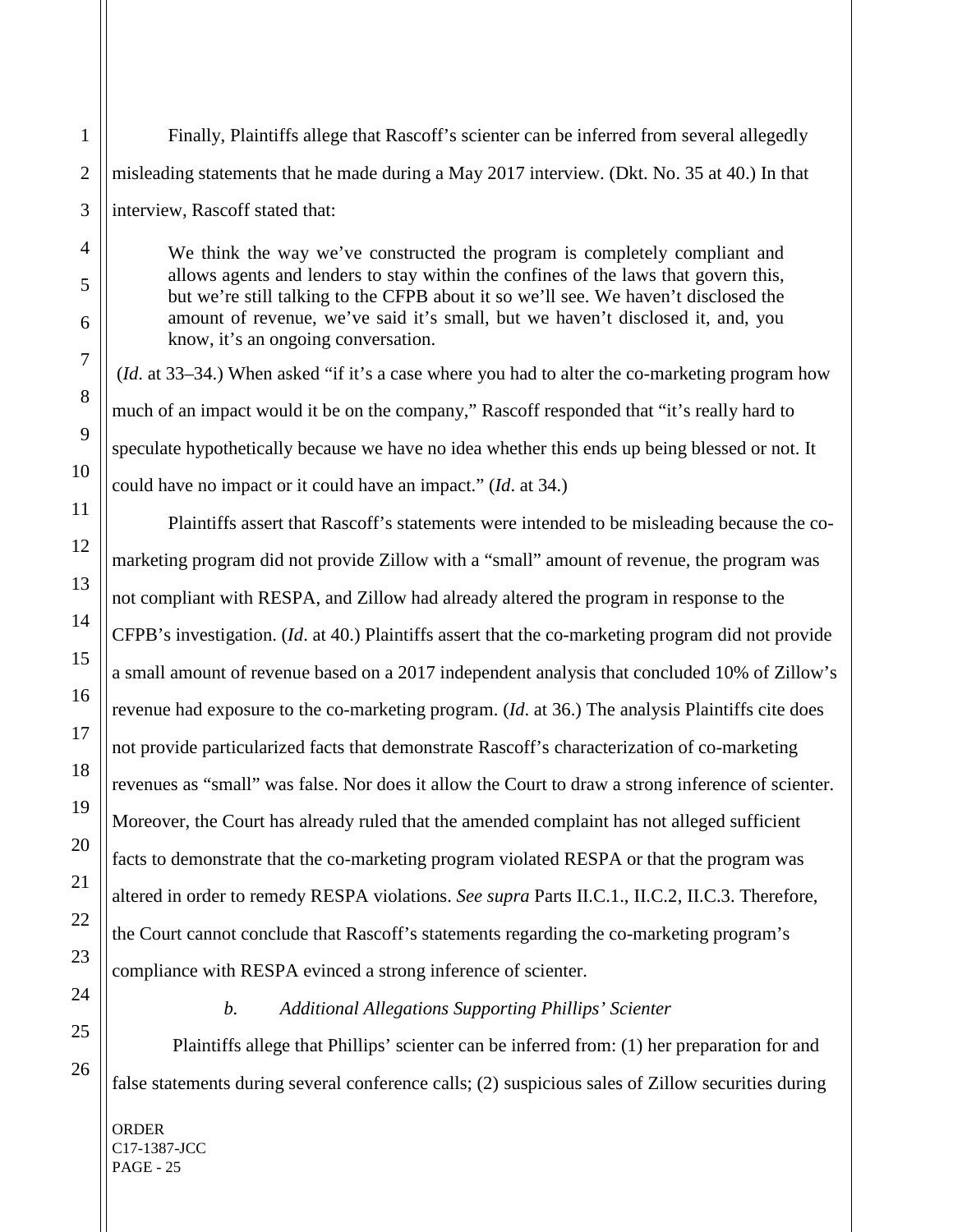Finally, Plaintiffs allege that Rascoff's scienter can be inferred from several allegedly misleading statements that he made during a May 2017 interview. (Dkt. No. 35 at 40.) In that interview, Rascoff stated that:

We think the way we've constructed the program is completely compliant and allows agents and lenders to stay within the confines of the laws that govern this, but we're still talking to the CFPB about it so we'll see. We haven't disclosed the amount of revenue, we've said it's small, but we haven't disclosed it, and, you know, it's an ongoing conversation.

(*Id*. at 33–34.) When asked "if it's a case where you had to alter the co-marketing program how much of an impact would it be on the company," Rascoff responded that "it's really hard to speculate hypothetically because we have no idea whether this ends up being blessed or not. It could have no impact or it could have an impact." (*Id*. at 34.)

Plaintiffs assert that Rascoff's statements were intended to be misleading because the comarketing program did not provide Zillow with a "small" amount of revenue, the program was not compliant with RESPA, and Zillow had already altered the program in response to the CFPB's investigation. (*Id*. at 40.) Plaintiffs assert that the co-marketing program did not provide a small amount of revenue based on a 2017 independent analysis that concluded 10% of Zillow's revenue had exposure to the co-marketing program. (*Id*. at 36.) The analysis Plaintiffs cite does not provide particularized facts that demonstrate Rascoff's characterization of co-marketing revenues as "small" was false. Nor does it allow the Court to draw a strong inference of scienter. Moreover, the Court has already ruled that the amended complaint has not alleged sufficient facts to demonstrate that the co-marketing program violated RESPA or that the program was altered in order to remedy RESPA violations. *See supra* Parts II.C.1., II.C.2, II.C.3. Therefore, the Court cannot conclude that Rascoff's statements regarding the co-marketing program's compliance with RESPA evinced a strong inference of scienter.

# *b. Additional Allegations Supporting Phillips' Scienter*

Plaintiffs allege that Phillips' scienter can be inferred from: (1) her preparation for and false statements during several conference calls; (2) suspicious sales of Zillow securities during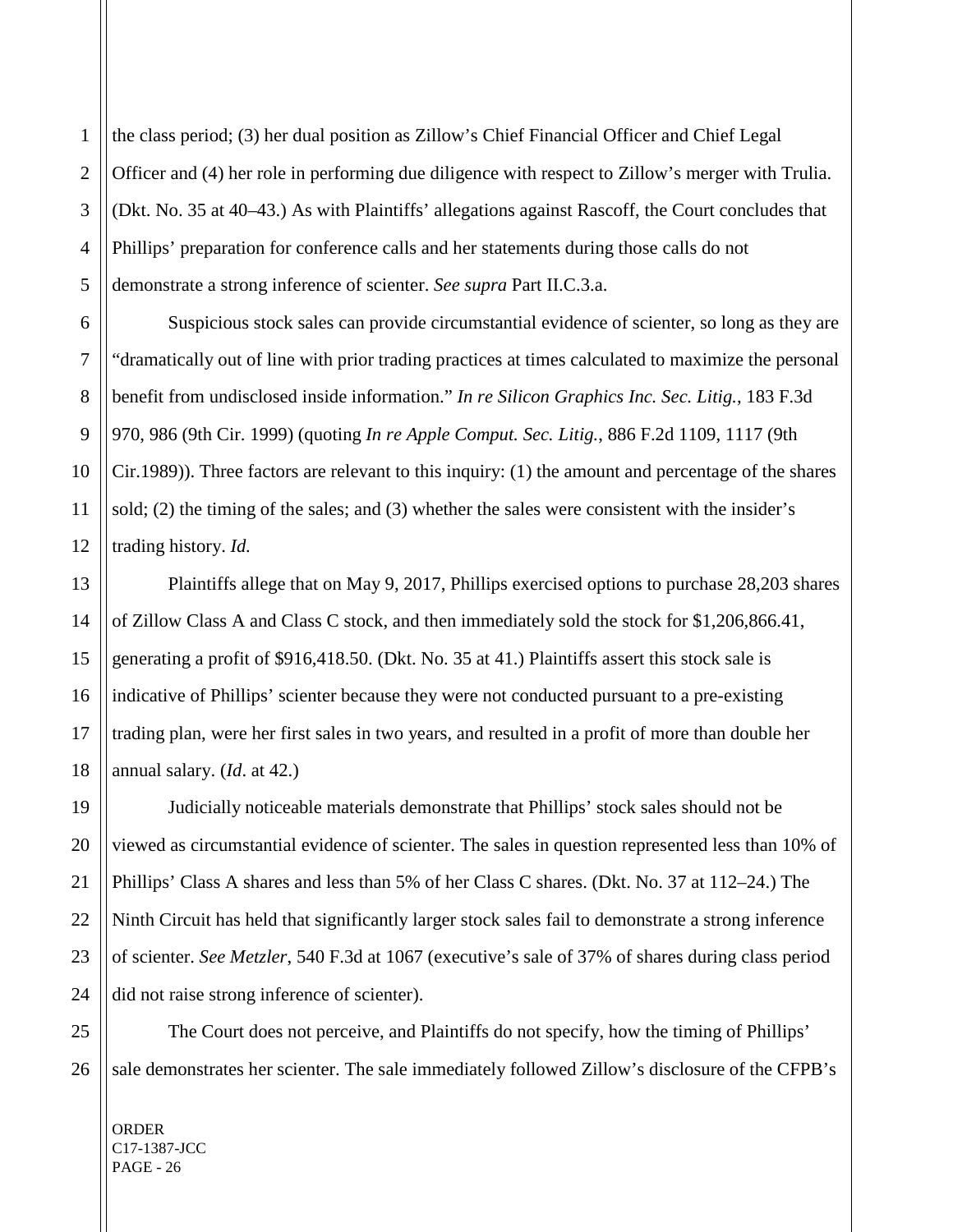the class period; (3) her dual position as Zillow's Chief Financial Officer and Chief Legal Officer and (4) her role in performing due diligence with respect to Zillow's merger with Trulia. (Dkt. No. 35 at 40–43.) As with Plaintiffs' allegations against Rascoff, the Court concludes that Phillips' preparation for conference calls and her statements during those calls do not demonstrate a strong inference of scienter. *See supra* Part II.C.3.a.

Suspicious stock sales can provide circumstantial evidence of scienter, so long as they are "dramatically out of line with prior trading practices at times calculated to maximize the personal benefit from undisclosed inside information." *In re Silicon Graphics Inc. Sec. Litig.*, 183 F.3d 970, 986 (9th Cir. 1999) (quoting *In re Apple Comput. Sec. Litig.*, 886 F.2d 1109, 1117 (9th Cir.1989)). Three factors are relevant to this inquiry: (1) the amount and percentage of the shares sold; (2) the timing of the sales; and (3) whether the sales were consistent with the insider's trading history. *Id.*

Plaintiffs allege that on May 9, 2017, Phillips exercised options to purchase 28,203 shares of Zillow Class A and Class C stock, and then immediately sold the stock for \$1,206,866.41, generating a profit of \$916,418.50. (Dkt. No. 35 at 41.) Plaintiffs assert this stock sale is indicative of Phillips' scienter because they were not conducted pursuant to a pre-existing trading plan, were her first sales in two years, and resulted in a profit of more than double her annual salary. (*Id*. at 42.)

Judicially noticeable materials demonstrate that Phillips' stock sales should not be viewed as circumstantial evidence of scienter. The sales in question represented less than 10% of Phillips' Class A shares and less than 5% of her Class C shares. (Dkt. No. 37 at 112–24.) The Ninth Circuit has held that significantly larger stock sales fail to demonstrate a strong inference of scienter. *See Metzler*, 540 F.3d at 1067 (executive's sale of 37% of shares during class period did not raise strong inference of scienter).

The Court does not perceive, and Plaintiffs do not specify, how the timing of Phillips' sale demonstrates her scienter. The sale immediately followed Zillow's disclosure of the CFPB's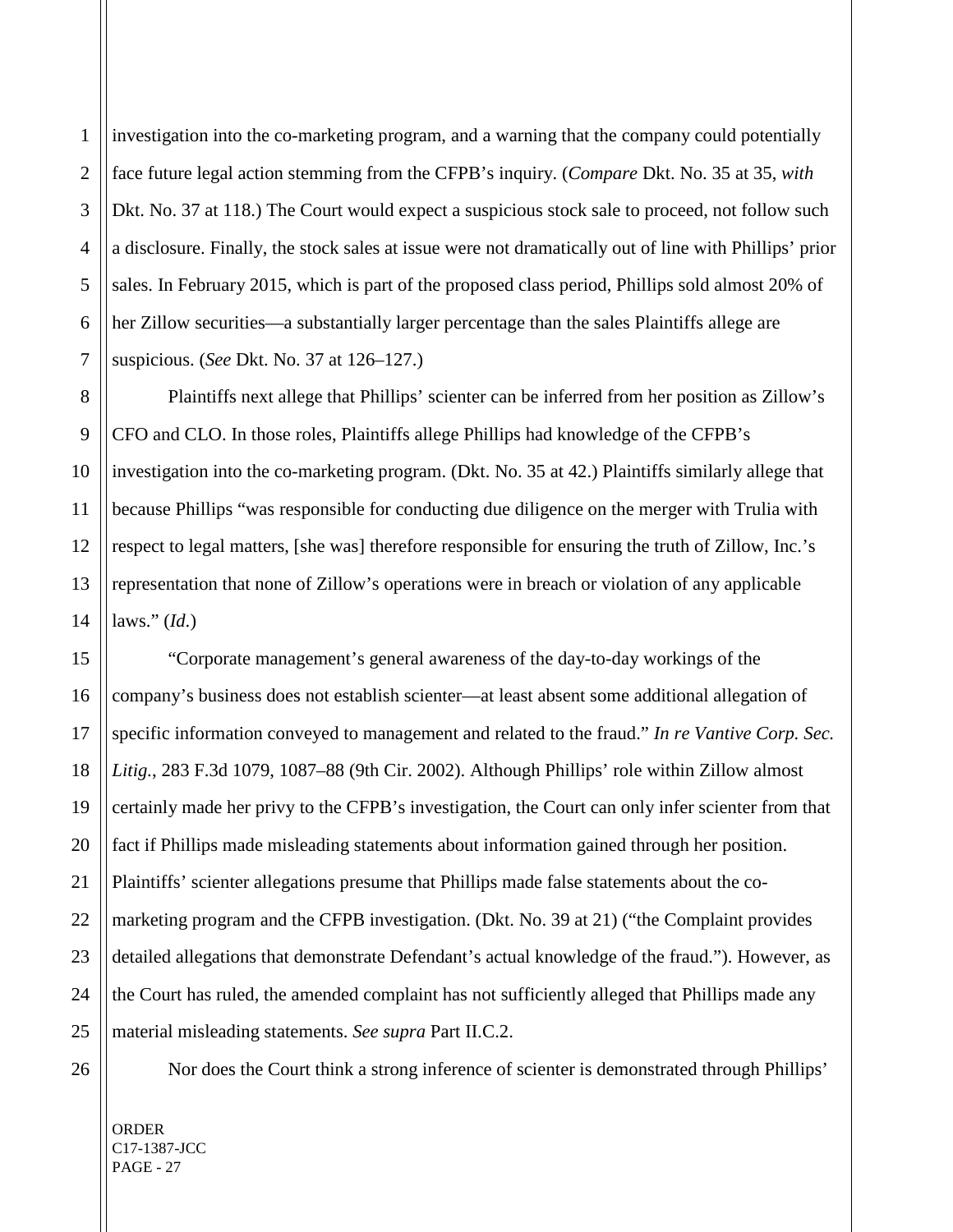investigation into the co-marketing program, and a warning that the company could potentially face future legal action stemming from the CFPB's inquiry. (*Compare* Dkt. No. 35 at 35, *with* Dkt. No. 37 at 118.) The Court would expect a suspicious stock sale to proceed, not follow such a disclosure. Finally, the stock sales at issue were not dramatically out of line with Phillips' prior sales. In February 2015, which is part of the proposed class period, Phillips sold almost 20% of her Zillow securities—a substantially larger percentage than the sales Plaintiffs allege are suspicious. (*See* Dkt. No. 37 at 126–127.)

Plaintiffs next allege that Phillips' scienter can be inferred from her position as Zillow's CFO and CLO. In those roles, Plaintiffs allege Phillips had knowledge of the CFPB's investigation into the co-marketing program. (Dkt. No. 35 at 42.) Plaintiffs similarly allege that because Phillips "was responsible for conducting due diligence on the merger with Trulia with respect to legal matters, [she was] therefore responsible for ensuring the truth of Zillow, Inc.'s representation that none of Zillow's operations were in breach or violation of any applicable laws." (*Id*.)

"Corporate management's general awareness of the day-to-day workings of the company's business does not establish scienter—at least absent some additional allegation of specific information conveyed to management and related to the fraud." *In re Vantive Corp. Sec. Litig.*, 283 F.3d 1079, 1087–88 (9th Cir. 2002). Although Phillips' role within Zillow almost certainly made her privy to the CFPB's investigation, the Court can only infer scienter from that fact if Phillips made misleading statements about information gained through her position. Plaintiffs' scienter allegations presume that Phillips made false statements about the comarketing program and the CFPB investigation. (Dkt. No. 39 at 21) ("the Complaint provides detailed allegations that demonstrate Defendant's actual knowledge of the fraud."). However, as the Court has ruled, the amended complaint has not sufficiently alleged that Phillips made any material misleading statements. *See supra* Part II.C.2.

Nor does the Court think a strong inference of scienter is demonstrated through Phillips'

ORDER C17-1387-JCC PAGE - 27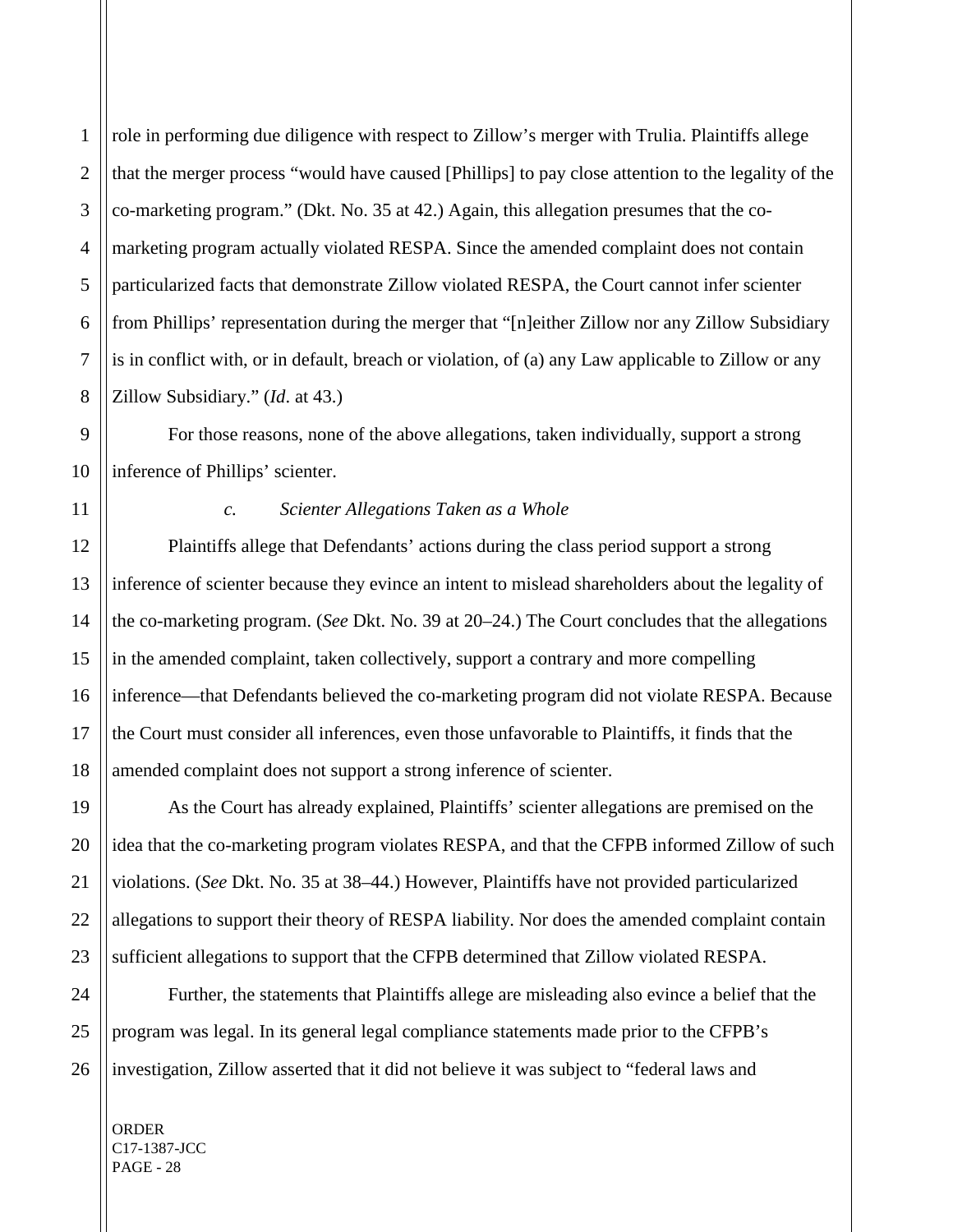role in performing due diligence with respect to Zillow's merger with Trulia. Plaintiffs allege that the merger process "would have caused [Phillips] to pay close attention to the legality of the co-marketing program." (Dkt. No. 35 at 42.) Again, this allegation presumes that the comarketing program actually violated RESPA. Since the amended complaint does not contain particularized facts that demonstrate Zillow violated RESPA, the Court cannot infer scienter from Phillips' representation during the merger that "[n]either Zillow nor any Zillow Subsidiary is in conflict with, or in default, breach or violation, of (a) any Law applicable to Zillow or any Zillow Subsidiary." (*Id*. at 43.)

For those reasons, none of the above allegations, taken individually, support a strong inference of Phillips' scienter.

#### *c. Scienter Allegations Taken as a Whole*

Plaintiffs allege that Defendants' actions during the class period support a strong inference of scienter because they evince an intent to mislead shareholders about the legality of the co-marketing program. (*See* Dkt. No. 39 at 20–24.) The Court concludes that the allegations in the amended complaint, taken collectively, support a contrary and more compelling inference—that Defendants believed the co-marketing program did not violate RESPA. Because the Court must consider all inferences, even those unfavorable to Plaintiffs, it finds that the amended complaint does not support a strong inference of scienter.

As the Court has already explained, Plaintiffs' scienter allegations are premised on the idea that the co-marketing program violates RESPA, and that the CFPB informed Zillow of such violations. (*See* Dkt. No. 35 at 38–44.) However, Plaintiffs have not provided particularized allegations to support their theory of RESPA liability. Nor does the amended complaint contain sufficient allegations to support that the CFPB determined that Zillow violated RESPA.

Further, the statements that Plaintiffs allege are misleading also evince a belief that the program was legal. In its general legal compliance statements made prior to the CFPB's investigation, Zillow asserted that it did not believe it was subject to "federal laws and

ORDER C17-1387-JCC PAGE - 28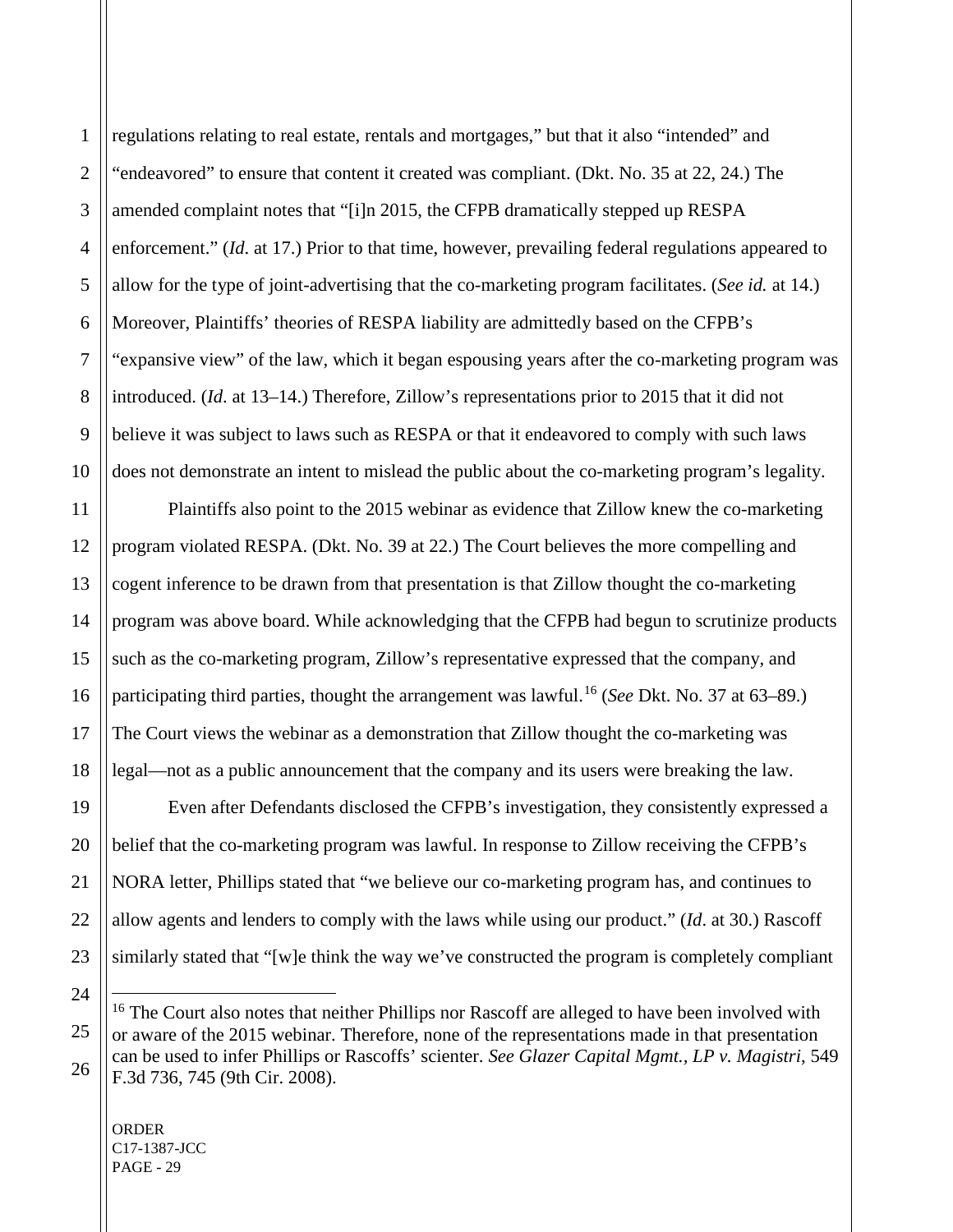regulations relating to real estate, rentals and mortgages," but that it also "intended" and "endeavored" to ensure that content it created was compliant. (Dkt. No. 35 at 22, 24.) The amended complaint notes that "[i]n 2015, the CFPB dramatically stepped up RESPA enforcement." (*Id*. at 17.) Prior to that time, however, prevailing federal regulations appeared to allow for the type of joint-advertising that the co-marketing program facilitates. (*See id.* at 14.) Moreover, Plaintiffs' theories of RESPA liability are admittedly based on the CFPB's "expansive view" of the law, which it began espousing years after the co-marketing program was introduced. (*Id*. at 13–14.) Therefore, Zillow's representations prior to 2015 that it did not believe it was subject to laws such as RESPA or that it endeavored to comply with such laws does not demonstrate an intent to mislead the public about the co-marketing program's legality.

Plaintiffs also point to the 2015 webinar as evidence that Zillow knew the co-marketing program violated RESPA. (Dkt. No. 39 at 22.) The Court believes the more compelling and cogent inference to be drawn from that presentation is that Zillow thought the co-marketing program was above board. While acknowledging that the CFPB had begun to scrutinize products such as the co-marketing program, Zillow's representative expressed that the company, and participating third parties, thought the arrangement was lawful.<sup>[16](#page-28-0)</sup> (*See* Dkt. No. 37 at 63–89.) The Court views the webinar as a demonstration that Zillow thought the co-marketing was legal—not as a public announcement that the company and its users were breaking the law.

Even after Defendants disclosed the CFPB's investigation, they consistently expressed a belief that the co-marketing program was lawful. In response to Zillow receiving the CFPB's NORA letter, Phillips stated that "we believe our co-marketing program has, and continues to allow agents and lenders to comply with the laws while using our product." (*Id*. at 30.) Rascoff similarly stated that "[w]e think the way we've constructed the program is completely compliant

ORDER C17-1387-JCC PAGE - 29

<span id="page-28-0"></span> $16$  The Court also notes that neither Phillips nor Rascoff are alleged to have been involved with or aware of the 2015 webinar. Therefore, none of the representations made in that presentation can be used to infer Phillips or Rascoffs' scienter. *See Glazer Capital Mgmt., LP v. Magistri*, 549 F.3d 736, 745 (9th Cir. 2008).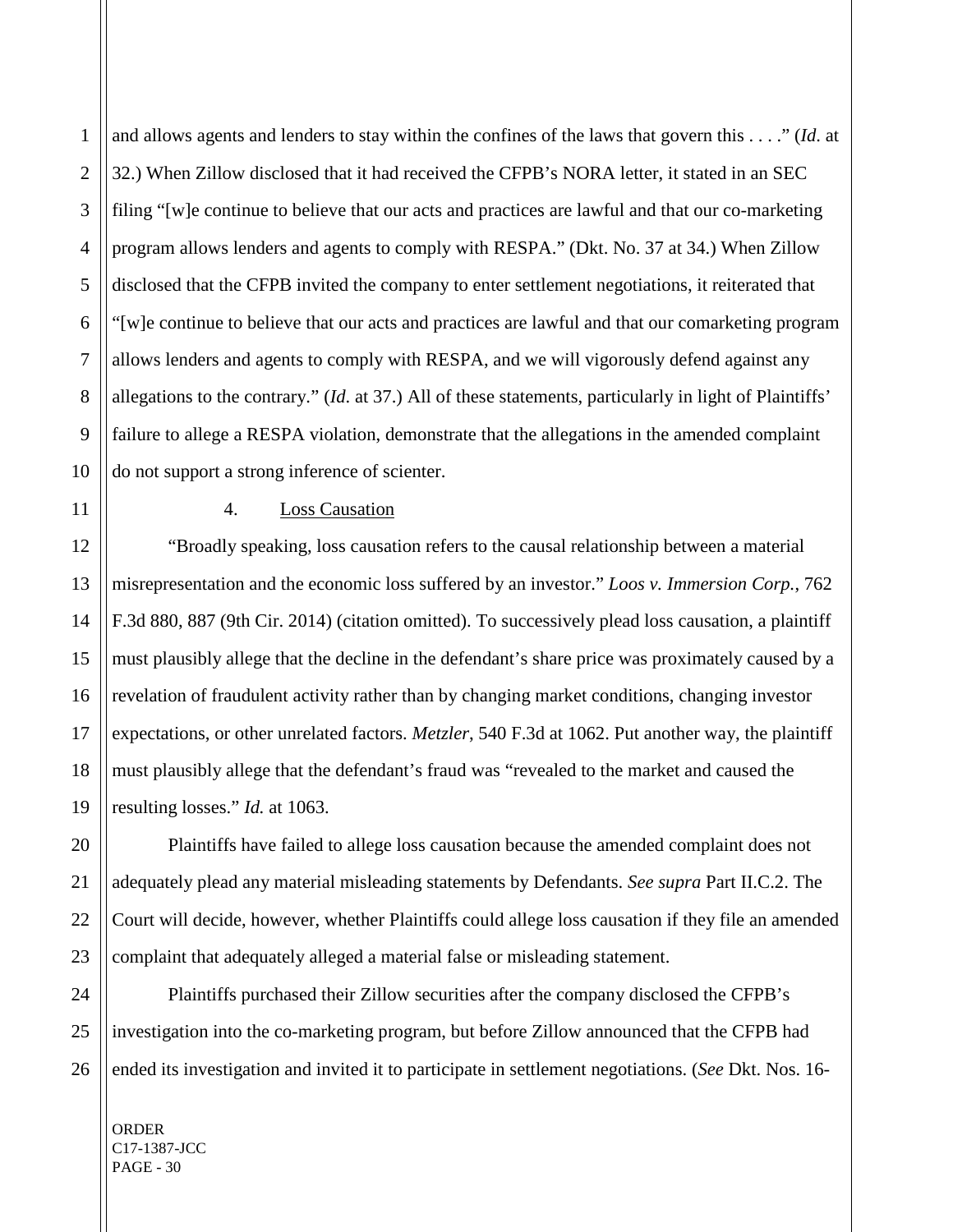and allows agents and lenders to stay within the confines of the laws that govern this . . . ." (*Id*. at 32.) When Zillow disclosed that it had received the CFPB's NORA letter, it stated in an SEC filing "[w]e continue to believe that our acts and practices are lawful and that our co-marketing program allows lenders and agents to comply with RESPA." (Dkt. No. 37 at 34.) When Zillow disclosed that the CFPB invited the company to enter settlement negotiations, it reiterated that "[w]e continue to believe that our acts and practices are lawful and that our comarketing program allows lenders and agents to comply with RESPA, and we will vigorously defend against any allegations to the contrary." (*Id*. at 37.) All of these statements, particularly in light of Plaintiffs' failure to allege a RESPA violation, demonstrate that the allegations in the amended complaint do not support a strong inference of scienter.

#### 4. Loss Causation

"Broadly speaking, loss causation refers to the causal relationship between a material misrepresentation and the economic loss suffered by an investor." *Loos v. Immersion Corp.*, 762 F.3d 880, 887 (9th Cir. 2014) (citation omitted). To successively plead loss causation, a plaintiff must plausibly allege that the decline in the defendant's share price was proximately caused by a revelation of fraudulent activity rather than by changing market conditions, changing investor expectations, or other unrelated factors. *Metzler*, 540 F.3d at 1062. Put another way, the plaintiff must plausibly allege that the defendant's fraud was "revealed to the market and caused the resulting losses." *Id.* at 1063.

Plaintiffs have failed to allege loss causation because the amended complaint does not adequately plead any material misleading statements by Defendants. *See supra* Part II.C.2. The Court will decide, however, whether Plaintiffs could allege loss causation if they file an amended complaint that adequately alleged a material false or misleading statement.

Plaintiffs purchased their Zillow securities after the company disclosed the CFPB's investigation into the co-marketing program, but before Zillow announced that the CFPB had ended its investigation and invited it to participate in settlement negotiations. (*See* Dkt. Nos. 16-

ORDER C17-1387-JCC PAGE - 30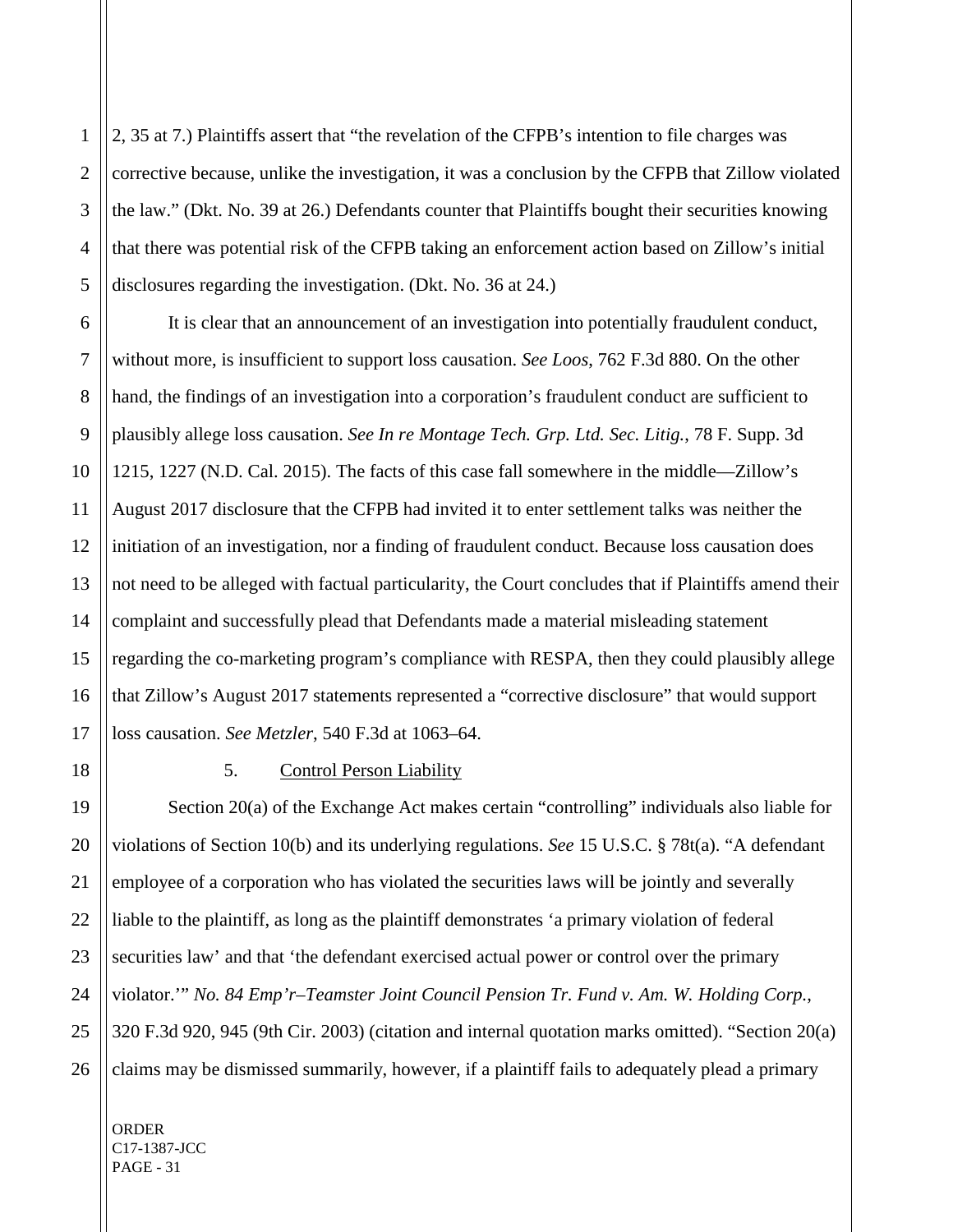2, 35 at 7.) Plaintiffs assert that "the revelation of the CFPB's intention to file charges was corrective because, unlike the investigation, it was a conclusion by the CFPB that Zillow violated the law." (Dkt. No. 39 at 26.) Defendants counter that Plaintiffs bought their securities knowing that there was potential risk of the CFPB taking an enforcement action based on Zillow's initial disclosures regarding the investigation. (Dkt. No. 36 at 24.)

It is clear that an announcement of an investigation into potentially fraudulent conduct, without more, is insufficient to support loss causation. *See Loos*, 762 F.3d 880. On the other hand, the findings of an investigation into a corporation's fraudulent conduct are sufficient to plausibly allege loss causation. *See In re Montage Tech. Grp. Ltd. Sec. Litig.*, 78 F. Supp. 3d 1215, 1227 (N.D. Cal. 2015). The facts of this case fall somewhere in the middle—Zillow's August 2017 disclosure that the CFPB had invited it to enter settlement talks was neither the initiation of an investigation, nor a finding of fraudulent conduct. Because loss causation does not need to be alleged with factual particularity, the Court concludes that if Plaintiffs amend their complaint and successfully plead that Defendants made a material misleading statement regarding the co-marketing program's compliance with RESPA, then they could plausibly allege that Zillow's August 2017 statements represented a "corrective disclosure" that would support loss causation. *See Metzler*, 540 F.3d at 1063–64.

# 5. Control Person Liability

Section 20(a) of the Exchange Act makes certain "controlling" individuals also liable for violations of Section 10(b) and its underlying regulations. *See* 15 U.S.C. § 78t(a). "A defendant employee of a corporation who has violated the securities laws will be jointly and severally liable to the plaintiff, as long as the plaintiff demonstrates 'a primary violation of federal securities law' and that 'the defendant exercised actual power or control over the primary violator.'" *No. 84 Emp'r–Teamster Joint Council Pension Tr. Fund v. Am. W. Holding Corp.*, 320 F.3d 920, 945 (9th Cir. 2003) (citation and internal quotation marks omitted). "Section 20(a) claims may be dismissed summarily, however, if a plaintiff fails to adequately plead a primary

ORDER C17-1387-JCC PAGE - 31